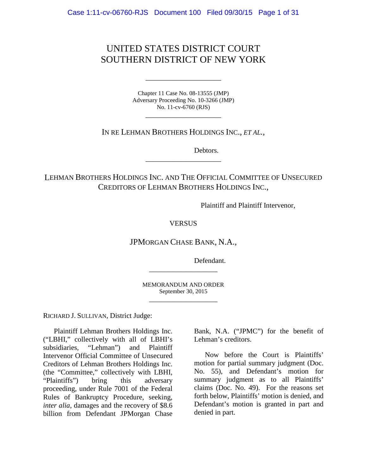# UNITED STATES DISTRICT COURT SOUTHERN DISTRICT OF NEW YORK

Chapter 11 Case No. 08-13555 (JMP) Adversary Proceeding No. 10-3266 (JMP) No. 11-cv-6760 (RJS)

\_\_\_\_\_\_\_\_\_\_\_\_\_\_\_\_\_\_\_\_\_

\_\_\_\_\_\_\_\_\_\_\_\_\_\_\_\_\_\_\_\_\_

IN RE LEHMAN BROTHERS HOLDINGS INC., *ET AL.*,

Debtors.

LEHMAN BROTHERS HOLDINGS INC. AND THE OFFICIAL COMMITTEE OF UNSECURED CREDITORS OF LEHMAN BROTHERS HOLDINGS INC.,

\_\_\_\_\_\_\_\_\_\_\_\_\_\_\_\_\_\_\_\_\_

Plaintiff and Plaintiff Intervenor,

**VERSUS** 

JPMORGAN CHASE BANK, N.A.,

Defendant.

MEMORANDUM AND ORDER September 30, 2015 \_\_\_\_\_\_\_\_\_\_\_\_\_\_\_\_\_\_\_

\_\_\_\_\_\_\_\_\_\_\_\_\_\_\_\_\_\_\_

RICHARD J. SULLIVAN, District Judge:

Plaintiff Lehman Brothers Holdings Inc. ("LBHI," collectively with all of LBHI's subsidiaries, "Lehman") and Plaintiff Intervenor Official Committee of Unsecured Creditors of Lehman Brothers Holdings Inc. (the "Committee," collectively with LBHI, "Plaintiffs") bring this adversary proceeding, under Rule 7001 of the Federal Rules of Bankruptcy Procedure, seeking, *inter alia*, damages and the recovery of \$8.6 billion from Defendant JPMorgan Chase

Bank, N.A. ("JPMC") for the benefit of Lehman's creditors.

Now before the Court is Plaintiffs' motion for partial summary judgment (Doc. No. 55), and Defendant's motion for summary judgment as to all Plaintiffs' claims (Doc. No. 49). For the reasons set forth below, Plaintiffs' motion is denied, and Defendant's motion is granted in part and denied in part.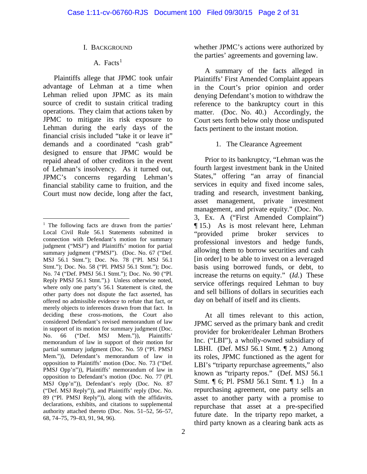#### I. BACKGROUND

#### A. Facts<sup>[1](#page-1-0)</sup>

Plaintiffs allege that JPMC took unfair advantage of Lehman at a time when Lehman relied upon JPMC as its main source of credit to sustain critical trading operations. They claim that actions taken by JPMC to mitigate its risk exposure to Lehman during the early days of the financial crisis included "take it or leave it" demands and a coordinated "cash grab" designed to ensure that JPMC would be repaid ahead of other creditors in the event of Lehman's insolvency. As it turned out, JPMC's concerns regarding Lehman's financial stability came to fruition, and the Court must now decide, long after the fact,

whether JPMC's actions were authorized by the parties' agreements and governing law.

A summary of the facts alleged in Plaintiffs' First Amended Complaint appears in the Court's prior opinion and order denying Defendant's motion to withdraw the reference to the bankruptcy court in this matter. (Doc. No. 40.) Accordingly, the Court sets forth below only those undisputed facts pertinent to the instant motion.

#### 1. The Clearance Agreement

Prior to its bankruptcy, "Lehman was the fourth largest investment bank in the United States," offering "an array of financial services in equity and fixed income sales, trading and research, investment banking, asset management, private investment management, and private equity." (Doc. No. 3, Ex. A ("First Amended Complaint") ¶ 15.) As is most relevant here, Lehman "provided prime broker services to professional investors and hedge funds, allowing them to borrow securities and cash [in order] to be able to invest on a leveraged basis using borrowed funds, or debt, to increase the returns on equity." (*Id*.) These service offerings required Lehman to buy and sell billions of dollars in securities each day on behalf of itself and its clients.

At all times relevant to this action, JPMC served as the primary bank and credit provider for broker/dealer Lehman Brothers Inc. ("LBI"), a wholly-owned subsidiary of LBHI. (Def. MSJ 56.1 Stmt. 12.) Among its roles, JPMC functioned as the agent for LBI's "triparty repurchase agreements," also known as "triparty repos." (Def. MSJ 56.1 Stmt. ¶ 6; Pl. PSMJ 56.1 Stmt. ¶ 1.) In a repurchasing agreement, one party sells an asset to another party with a promise to repurchase that asset at a pre-specified future date. In the triparty repo market, a third party known as a clearing bank acts as

<span id="page-1-0"></span><sup>&</sup>lt;sup>1</sup> The following facts are drawn from the parties' Local Civil Rule 56.1 Statements submitted in connection with Defendant's motion for summary judgment ("MSJ") and Plaintiffs' motion for partial summary judgment ("PMSJ"). (Doc. No. 67 ("Def. MSJ 56.1 Stmt."); Doc. No. 78 ("Pl. MSJ 56.1 Stmt."); Doc. No. 58 ("Pl. PMSJ 56.1 Stmt."); Doc. No. 74 ("Def. PMSJ 56.1 Stmt."); Doc. No. 90 ("Pl. Reply PMSJ 56.1 Stmt.").) Unless otherwise noted, where only one party's 56.1 Statement is cited, the other party does not dispute the fact asserted, has offered no admissible evidence to refute that fact, or merely objects to inferences drawn from that fact. In deciding these cross-motions, the Court also considered Defendant's revised memorandum of law in support of its motion for summary judgment (Doc. No. 66 ("Def. MSJ Mem.")), Plaintiffs' memorandum of law in support of their motion for partial summary judgment (Doc. No. 59 ("Pl. PMSJ Mem.")), Defendant's memorandum of law in opposition to Plaintiffs' motion (Doc. No. 73 ("Def. PMSJ Opp'n")), Plaintiffs' memorandum of law in opposition to Defendant's motion (Doc. No. 77 (Pl. MSJ Opp'n")), Defendant's reply (Doc. No. 87 ("Def. MSJ Reply")), and Plaintiffs' reply (Doc. No. 89 ("Pl. PMSJ Reply")), along with the affidavits, declarations, exhibits, and citations to supplemental authority attached thereto (Doc. Nos. 51–52, 56–57, 68, 74–75, 79–83, 91, 94, 96).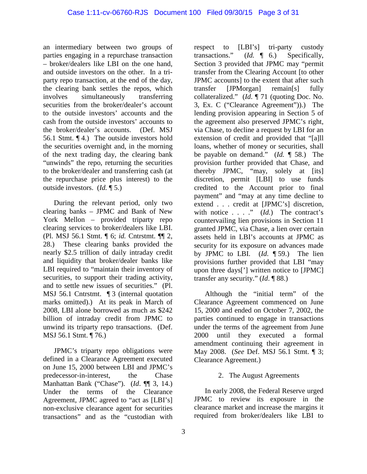an intermediary between two groups of parties engaging in a repurchase transaction – broker/dealers like LBI on the one hand, and outside investors on the other. In a triparty repo transaction, at the end of the day, the clearing bank settles the repos, which involves simultaneously transferring securities from the broker/dealer's account to the outside investors' accounts and the cash from the outside investors' accounts to the broker/dealer's accounts. (Def. MSJ 56.1 Stmt. ¶ 4.) The outside investors hold the securities overnight and, in the morning of the next trading day, the clearing bank "unwinds" the repo, returning the securities to the broker/dealer and transferring cash (at the repurchase price plus interest) to the outside investors. (*Id.* ¶ 5.)

During the relevant period, only two clearing banks – JPMC and Bank of New York Mellon – provided triparty repo clearing services to broker/dealers like LBI. (Pl. MSJ 56.1 Stmt. ¶ 6; *id.* Cntrstmt. ¶¶ 2, 28.) These clearing banks provided the nearly \$2.5 trillion of daily intraday credit and liquidity that broker/dealer banks like LBI required to "maintain their inventory of securities, to support their trading activity, and to settle new issues of securities." (Pl. MSJ 56.1 Cntrstmt. ¶ 3 (internal quotation marks omitted).) At its peak in March of 2008, LBI alone borrowed as much as \$242 billion of intraday credit from JPMC to unwind its triparty repo transactions. (Def. MSJ 56.1 Stmt. ¶ 76.)

JPMC's triparty repo obligations were defined in a Clearance Agreement executed on June 15, 2000 between LBI and JPMC's predecessor-in-interest, the Chase Manhattan Bank ("Chase"). (*Id*. ¶¶ 3, 14.) Under the terms of the Clearance Agreement, JPMC agreed to "act as [LBI's] non-exclusive clearance agent for securities transactions" and as the "custodian with

respect to [LBI's] tri-party custody transactions." (*Id.* ¶ 6.) Specifically, Section 3 provided that JPMC may "permit transfer from the Clearing Account [to other JPMC accounts] to the extent that after such transfer [JPMorgan] remain[s] fully collateralized." (*Id*. ¶ 71 (quoting Doc. No. 3, Ex. C ("Clearance Agreement")).) The lending provision appearing in Section 5 of the agreement also preserved JPMC's right, via Chase, to decline a request by LBI for an extension of credit and provided that "[a]ll loans, whether of money or securities, shall be payable on demand." (*Id. ¶* 58.) The provision further provided that Chase, and thereby JPMC, "may, solely at [its] discretion, permit [LBI] to use funds credited to the Account prior to final payment" and "may at any time decline to extend . . . credit at [JPMC's] discretion, with notice . . . ." (*Id.*) The contract's countervailing lien provisions in Section 11 granted JPMC, via Chase, a lien over certain assets held in LBI's accounts at JPMC as security for its exposure on advances made by JPMC to LBI. (*Id.* ¶ 59.) The lien provisions further provided that LBI "may upon three days<sup>[']</sup> written notice to [JPMC] transfer any security." (*Id*. ¶ 88.)

Although the "initial term" of the Clearance Agreement commenced on June 15, 2000 and ended on October 7, 2002, the parties continued to engage in transactions under the terms of the agreement from June 2000 until they executed a formal amendment continuing their agreement in May 2008. (*See* Def. MSJ 56.1 Stmt. ¶ 3; Clearance Agreement.)

## 2. The August Agreements

In early 2008, the Federal Reserve urged JPMC to review its exposure in the clearance market and increase the margins it required from broker/dealers like LBI to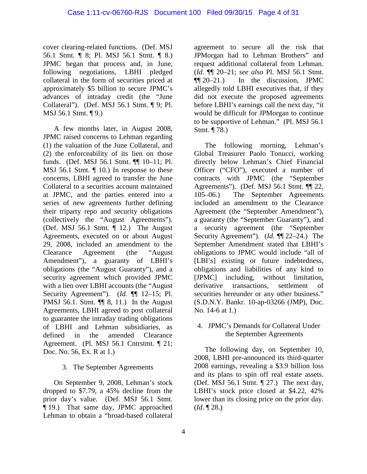cover clearing-related functions. (Def. MSJ 56.1 Stmt. ¶ 8; Pl. MSJ 56.1 Stmt. ¶ 8.) JPMC began that process and, in June, following negotiations, LBHI pledged collateral in the form of securities priced at approximately \$5 billion to secure JPMC's advances of intraday credit (the "June Collateral"). (Def. MSJ 56.1 Stmt. ¶ 9; Pl. MSJ 56.1 Stmt. ¶ 9.)

A few months later, in August 2008, JPMC raised concerns to Lehman regarding (1) the valuation of the June Collateral, and (2) the enforceability of its lien on those funds. (Def. MSJ 56.1 Stmt. ¶¶ 10–11; Pl. MSJ 56.1 Stmt. ¶ 10.) In response to these concerns, LBHI agreed to transfer the June Collateral to a securities account maintained at JPMC, and the parties entered into a series of new agreements further defining their triparty repo and security obligations (collectively the "August Agreements"). (Def. MSJ 56.1 Stmt. ¶ 12.) The August Agreements, executed on or about August 29, 2008, included an amendment to the Clearance Agreement (the "August Amendment"), a guaranty of LBHI's obligations (the "August Guaranty"), and a security agreement which provided JPMC with a lien over LBHI accounts (the "August Security Agreement"). (*Id.* ¶[ 12–15; Pl. PMSJ 56.1. Stmt. ¶¶ 8, 11.) In the August Agreements, LBHI agreed to post collateral to guarantee the intraday trading obligations of LBHI and Lehman subsidiaries, as defined in the amended Clearance Agreement. (Pl. MSJ 56.1 Cntrstmt. ¶ 21; Doc. No. 56, Ex. R at 1.)

#### 3. The September Agreements

On September 9, 2008, Lehman's stock dropped to \$7.79, a 45% decline from the prior day's value. (Def. MSJ 56.1 Stmt. ¶ 19.) That same day, JPMC approached Lehman to obtain a "broad-based collateral

agreement to secure all the risk that JPMorgan had to Lehman Brothers" and request additional collateral from Lehman. (*Id*. ¶¶ 20–21; *see also* Pl. MSJ 56.1 Stmt.  $\P$ [ $\degree$  20–21.) In the discussion, JPMC allegedly told LBHI executives that, if they did not execute the proposed agreements before LBHI's earnings call the next day, "it would be difficult for JPMorgan to continue to be supportive of Lehman." (Pl. MSJ 56.1 Stmt. ¶ 78.)

The following morning, Lehman's Global Treasurer Paolo Tonucci, working directly below Lehman's Chief Financial Officer ("CFO"), executed a number of contracts with JPMC (the "September Agreements"). (Def. MSJ 56.1 Stmt. ¶ 22, 105–06.) The September Agreements included an amendment to the Clearance Agreement (the "September Amendment"), a guaranty (the "September Guaranty"), and a security agreement (the "September Security Agreement"). (*Id.* ¶¶ 22–24.) The September Amendment stated that LBHI's obligations to JPMC would include "all of [LBI's] existing or future indebtedness, obligations and liabilities of any kind to [JPMC] including, without limitation, derivative transactions, settlement of securities hereunder or any other business." (S.D.N.Y. Bankr. 10-ap-03266 (JMP), Doc. No. 14-6 at 1.)

## 4. JPMC's Demands for Collateral Under the September Agreements

The following day, on September 10, 2008, LBHI pre-announced its third-quarter 2008 earnings, revealing a \$3.9 billion loss and its plans to spin off real estate assets. (Def. MSJ 56.1 Stmt. ¶ 27.) The next day, LBHI's stock price closed at \$4.22, 42% lower than its closing price on the prior day. (*Id*. ¶ 28.)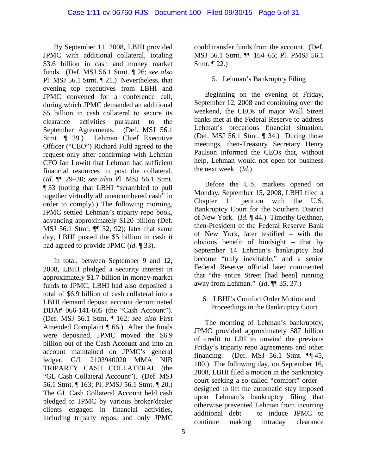By September 11, 2008, LBHI provided JPMC with additional collateral, totaling \$3.6 billion in cash and money market funds. (Def. MSJ 56.1 Stmt. ¶ 26; *see also*  Pl. MSJ 56.1 Stmt. ¶ 21.) Nevertheless, that evening top executives from LBHI and JPMC convened for a conference call, during which JPMC demanded an additional \$5 billion in cash collateral to secure its clearance activities pursuant to the September Agreements. (Def. MSJ 56.1 Stmt. ¶ 29.) Lehman Chief Executive Officer ("CEO") Richard Fuld agreed to the request only after confirming with Lehman CFO Ian Lowitt that Lehman had sufficient financial resources to post the collateral. (*Id*. ¶¶ 29–30; *see also* Pl. MSJ 56.1 Stmt. ¶ 33 (noting that LBHI "scrambled to pull together virtually all unencumbered cash" in order to comply).) The following morning, JPMC settled Lehman's triparty repo book, advancing approximately \$120 billion (Def. MSJ 56.1 Stmt. ¶¶ 32, 92); later that same day, LBHI posted the \$5 billion in cash it had agreed to provide JPMC (*id*. ¶ 33).

In total, between September 9 and 12, 2008, LBHI pledged a security interest in approximately \$1.7 billion in money-market funds to JPMC; LBHI had also deposited a total of \$6.9 billion of cash collateral into a LBHI demand deposit account denominated DDA# 066-141-605 (the "Cash Account"). (Def. MSJ 56.1 Stmt. ¶ 162; *see also* First Amended Complaint ¶ 66.) After the funds were deposited, JPMC moved the \$6.9 billion out of the Cash Account and into an account maintained on JPMC's general ledger, G/L 2103940020 MMA NIB TRIPARTY CASH COLLATERAL (the "GL Cash Collateral Account"). (Def. MSJ 56.1 Stmt. ¶ 163; Pl. PMSJ 56.1 Stmt. ¶ 20.) The GL Cash Collateral Account held cash pledged to JPMC by various broker/dealer clients engaged in financial activities, including triparty repos, and only JPMC

could transfer funds from the account. (Def. MSJ 56.1 Stmt. ¶¶ 164–65; Pl. PMSJ 56.1 Stmt. ¶ 22.)

## 5. Lehman's Bankruptcy Filing

Beginning on the evening of Friday, September 12, 2008 and continuing over the weekend, the CEOs of major Wall Street banks met at the Federal Reserve to address Lehman's precarious financial situation. (Def. MSJ 56.1 Stmt. ¶ 34.) During those meetings, then-Treasury Secretary Henry Paulson informed the CEOs that, without help, Lehman would not open for business the next week. (*Id*.)

Before the U.S. markets opened on Monday, September 15, 2008, LBHI filed a Chapter 11 petition with the U.S. Bankruptcy Court for the Southern District of New York. (*Id*. ¶ 44.) Timothy Geithner, then-President of the Federal Reserve Bank of New York, later testified – with the obvious benefit of hindsight – that by September 14 Lehman's bankruptcy had become "truly inevitable," and a senior Federal Reserve official later commented that "the entire Street [had been] running away from Lehman." (*Id*. ¶¶ 35, 37.)

6. LBHI's Comfort Order Motion and Proceedings in the Bankruptcy Court

The morning of Lehman's bankruptcy, JPMC provided approximately \$87 billion of credit to LBI to unwind the previous Friday's triparty repo agreements and other financing. (Def. MSJ 56.1 Stmt.  $\P\P$ 45, 100.) The following day, on September 16, 2008, LBHI filed a motion in the bankruptcy court seeking a so-called "comfort" order – designed to lift the automatic stay imposed upon Lehman's bankruptcy filing that otherwise prevented Lehman from incurring additional debt – to induce JPMC to continue making intraday clearance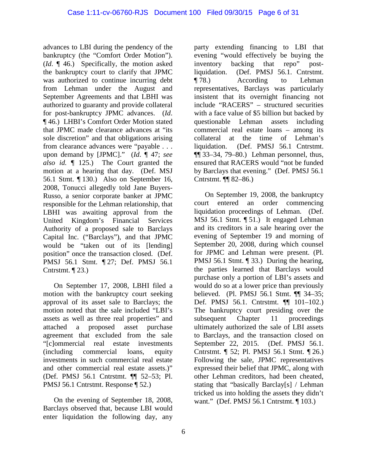advances to LBI during the pendency of the bankruptcy (the "Comfort Order Motion"). (*Id*. ¶ 46.) Specifically, the motion asked the bankruptcy court to clarify that JPMC was authorized to continue incurring debt from Lehman under the August and September Agreements and that LBHI was authorized to guaranty and provide collateral for post-bankruptcy JPMC advances. (*Id*. ¶ 46.) LHBI's Comfort Order Motion stated that JPMC made clearance advances at "its sole discretion" and that obligations arising from clearance advances were "payable . . . upon demand by [JPMC]." (*Id*. ¶ 47; *see also id.* ¶ 125.) The Court granted the motion at a hearing that day. (Def. MSJ 56.1 Stmt. ¶ 130.) Also on September 16, 2008, Tonucci allegedly told Jane Buyers-Russo, a senior corporate banker at JPMC responsible for the Lehman relationship, that LBHI was awaiting approval from the United Kingdom's Financial Services Authority of a proposed sale to Barclays Capital Inc. ("Barclays"), and that JPMC would be "taken out of its [lending] position" once the transaction closed. (Def. PMSJ 56.1 Stmt. ¶ 27; Def. PMSJ 56.1 Cntrstmt. ¶ 23.)

On September 17, 2008, LBHI filed a motion with the bankruptcy court seeking approval of its asset sale to Barclays; the motion noted that the sale included "LBI's assets as well as three real properties" and attached a proposed asset purchase agreement that excluded from the sale "[c]ommercial real estate investments (including commercial loans, equity investments in such commercial real estate and other commercial real estate assets.)" (Def. PMSJ 56.1 Cntrstmt. ¶¶ 52–53; Pl. PMSJ 56.1 Cntrstmt. Response ¶ 52.)

On the evening of September 18, 2008, Barclays observed that, because LBI would enter liquidation the following day, any

party extending financing to LBI that evening "would effectively be buying the inventory backing that repo" postliquidation. (Def. PMSJ 56.1. Cntrstmt. ¶ 78.) According to Lehman representatives, Barclays was particularly insistent that its overnight financing not include "RACERS" – structured securities with a face value of \$5 billion but backed by questionable Lehman assets including commercial real estate loans – among its collateral at the time of Lehman's liquidation. (Def. PMSJ 56.1 Cntrstmt. ¶¶ 33–34, 79–80.) Lehman personnel, thus, ensured that RACERS would "not be funded by Barclays that evening." (Def. PMSJ 56.1 Cntrstmt. ¶¶ 82–86.)

On September 19, 2008, the bankruptcy court entered an order commencing liquidation proceedings of Lehman. (Def. MSJ 56.1 Stmt. ¶ 51.) It engaged Lehman and its creditors in a sale hearing over the evening of September 19 and morning of September 20, 2008, during which counsel for JPMC and Lehman were present. (Pl. PMSJ 56.1 Stmt. [ 33.) During the hearing, the parties learned that Barclays would purchase only a portion of LBI's assets and would do so at a lower price than previously believed. (Pl. PMSJ 56.1 Stmt. ¶¶ 34–35; Def. PMSJ 56.1. Cntrstmt. ¶¶ 101–102.) The bankruptcy court presiding over the subsequent Chapter 11 proceedings ultimately authorized the sale of LBI assets to Barclays, and the transaction closed on September 22, 2015. (Def. PMSJ 56.1. Cntrstmt. ¶ 52; Pl. PMSJ 56.1 Stmt. ¶ 26.) Following the sale, JPMC representatives expressed their belief that JPMC, along with other Lehman creditors, had been cheated, stating that "basically Barclay[s] / Lehman tricked us into holding the assets they didn't want." (Def. PMSJ 56.1 Cntrstmt. ¶ 103.)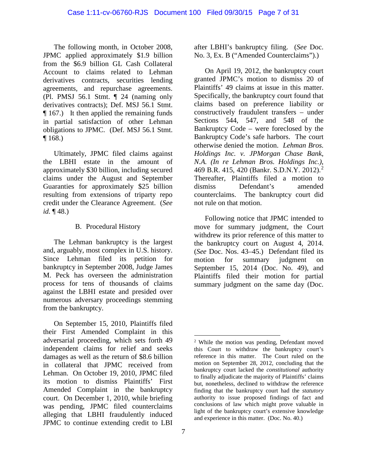The following month, in October 2008, JPMC applied approximately \$1.9 billion from the \$6.9 billion GL Cash Collateral Account to claims related to Lehman derivatives contracts, securities lending agreements, and repurchase agreements. (Pl. PMSJ 56.1 Stmt. ¶ 24 (naming only derivatives contracts); Def. MSJ 56.1 Stmt. ¶ 167.) It then applied the remaining funds in partial satisfaction of other Lehman obligations to JPMC. (Def. MSJ 56.1 Stmt. ¶ 168.)

Ultimately, JPMC filed claims against the LBHI estate in the amount of approximately \$30 billion, including secured claims under the August and September Guaranties for approximately \$25 billion resulting from extensions of triparty repo credit under the Clearance Agreement. (*See id.* ¶ 48.)

#### B. Procedural History

The Lehman bankruptcy is the largest and, arguably, most complex in U.S. history. Since Lehman filed its petition for bankruptcy in September 2008, Judge James M. Peck has overseen the administration process for tens of thousands of claims against the LBHI estate and presided over numerous adversary proceedings stemming from the bankruptcy.

<span id="page-6-0"></span>On September 15, 2010, Plaintiffs filed their First Amended Complaint in this adversarial proceeding, which sets forth 49 independent claims for relief and seeks damages as well as the return of \$8.6 billion in collateral that JPMC received from Lehman. On October 19, 2010, JPMC filed its motion to dismiss Plaintiffs' First Amended Complaint in the bankruptcy court. On December 1, 2010, while briefing was pending, JPMC filed counterclaims alleging that LBHI fraudulently induced JPMC to continue extending credit to LBI

after LBHI's bankruptcy filing. (*See* Doc. No. 3, Ex. B ("Amended Counterclaims").)

On April 19, 2012, the bankruptcy court granted JPMC's motion to dismiss 20 of Plaintiffs' 49 claims at issue in this matter. Specifically, the bankruptcy court found that claims based on preference liability or constructively fraudulent transfers – under Sections 544, 547, and 548 of the Bankruptcy Code – were foreclosed by the Bankruptcy Code's safe harbors. The court otherwise denied the motion. *Lehman Bros. Holdings Inc. v. JPMorgan Chase Bank*, *N.A. (In re Lehman Bros. Holdings Inc.)*, 469 B.R. 415, 420 (Bankr. S.D.N.Y. 2012).[2](#page-6-0) Thereafter, Plaintiffs filed a motion to dismiss Defendant's amended counterclaims. The bankruptcy court did not rule on that motion.

Following notice that JPMC intended to move for summary judgment, the Court withdrew its prior reference of this matter to the bankruptcy court on August 4, 2014. (*See* Doc. Nos. 43–45.) Defendant filed its motion for summary judgment on September 15, 2014 (Doc. No. 49), and Plaintiffs filed their motion for partial summary judgment on the same day (Doc.

 <sup>2</sup> While the motion was pending, Defendant moved this Court to withdraw the bankruptcy court's reference in this matter. The Court ruled on the motion on September 28, 2012, concluding that the bankruptcy court lacked the *constitutional* authority to finally adjudicate the majority of Plaintiffs' claims but, nonetheless, declined to withdraw the reference finding that the bankruptcy court had the *statutory* authority to issue proposed findings of fact and conclusions of law which might prove valuable in light of the bankruptcy court's extensive knowledge and experience in this matter. (Doc. No. 40.)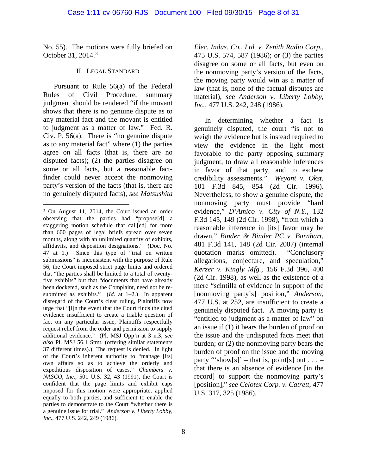No. 55). The motions were fully briefed on October [3](#page-7-0)1, 2014.<sup>3</sup>

#### II. LEGAL STANDARD

Pursuant to Rule 56(a) of the Federal Rules of Civil Procedure, summary judgment should be rendered "if the movant shows that there is no genuine dispute as to any material fact and the movant is entitled to judgment as a matter of law." Fed. R. Civ. P. 56(a). There is "no genuine dispute as to any material fact" where (1) the parties agree on all facts (that is, there are no disputed facts); (2) the parties disagree on some or all facts, but a reasonable factfinder could never accept the nonmoving party's version of the facts (that is, there are no genuinely disputed facts), *see Matsushita*  *Elec. Indus. Co., Ltd. v. Zenith Radio Corp.*, 475 U.S. 574, 587 (1986); or (3) the parties disagree on some or all facts, but even on the nonmoving party's version of the facts, the moving party would win as a matter of law (that is, none of the factual disputes are material), *see Anderson v. Liberty Lobby, Inc.*, 477 U.S. 242, 248 (1986).

In determining whether a fact is genuinely disputed, the court "is not to weigh the evidence but is instead required to view the evidence in the light most favorable to the party opposing summary judgment, to draw all reasonable inferences in favor of that party, and to eschew credibility assessments*.*" *Weyant v. Okst*, 101 F.3d 845, 854 (2d Cir. 1996). Nevertheless, to show a genuine dispute, the nonmoving party must provide "hard evidence," *D'Amico v. City of N.Y.*, 132 F.3d 145, 149 (2d Cir. 1998), "from which a reasonable inference in [its] favor may be drawn," *Binder & Binder PC v. Barnhart*, 481 F.3d 141, 148 (2d Cir. 2007) (internal quotation marks omitted). "Conclusory allegations, conjecture, and speculation," *Kerzer v. Kingly Mfg.*, 156 F.3d 396, 400 (2d Cir. 1998), as well as the existence of a mere "scintilla of evidence in support of the [nonmoving party's] position," *Anderson*, 477 U.S. at 252, are insufficient to create a genuinely disputed fact. A moving party is "entitled to judgment as a matter of law" on an issue if (1) it bears the burden of proof on the issue and the undisputed facts meet that burden; or (2) the nonmoving party bears the burden of proof on the issue and the moving party "'show[s]' – that is, point[s] out . . . – that there is an absence of evidence [in the record] to support the nonmoving party's [position]," *see Celotex Corp. v. Catrett*, 477 U.S. 317, 325 (1986).

<span id="page-7-0"></span><sup>&</sup>lt;sup>3</sup> On August 11, 2014, the Court issued an order observing that the parties had "propose[d] a staggering motion schedule that call[ed] for more than 600 pages of legal briefs spread over seven months, along with an unlimited quantity of exhibits, affidavits, and deposition designations." (Doc. No. 47 at 1.) Since this type of "trial on written submissions" is inconsistent with the purpose of Rule 56, the Court imposed strict page limits and ordered that "the parties shall be limited to a total of twentyfive exhibits" but that "documents that have already been docketed, such as the Complaint, need not be resubmitted as exhibits." (*Id*. at 1–2.) In apparent disregard of the Court's clear ruling, Plaintiffs now urge that "[i]n the event that the Court finds the cited evidence insufficient to create a triable question of fact on any particular issue, Plaintiffs respectfully request relief from the order and permission to supply additional evidence." (Pl. MSJ Opp'n at 3 n.3; *see also* Pl. MSJ 56.1 Stmt. (offering similar statements 37 different times).) The request is denied. In light of the Court's inherent authority to "manage [its] own affairs so as to achieve the orderly and expeditious disposition of cases," *Chambers v. NASCO, Inc.*, 501 U.S. 32, 43 (1991), the Court is confident that the page limits and exhibit caps imposed for this motion were appropriate, applied equally to both parties, and sufficient to enable the parties to demonstrate to the Court "whether there is a genuine issue for trial." *Anderson v. Liberty Lobby, Inc.*, 477 U.S. 242, 249 (1986).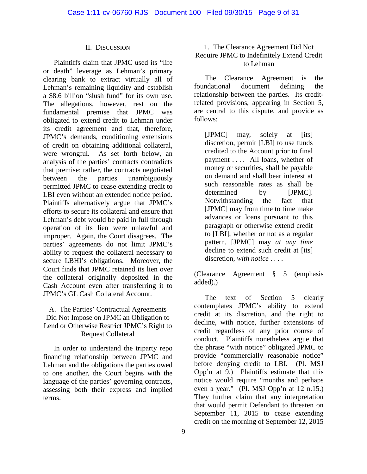#### II. DISCUSSION

Plaintiffs claim that JPMC used its "life or death" leverage as Lehman's primary clearing bank to extract virtually all of Lehman's remaining liquidity and establish a \$8.6 billion "slush fund" for its own use. The allegations, however, rest on the fundamental premise that JPMC was obligated to extend credit to Lehman under its credit agreement and that, therefore, JPMC's demands, conditioning extensions of credit on obtaining additional collateral, were wrongful. As set forth below, an analysis of the parties' contracts contradicts that premise; rather, the contracts negotiated between the parties unambiguously permitted JPMC to cease extending credit to LBI even without an extended notice period. Plaintiffs alternatively argue that JPMC's efforts to secure its collateral and ensure that Lehman's debt would be paid in full through operation of its lien were unlawful and improper. Again, the Court disagrees. The parties' agreements do not limit JPMC's ability to request the collateral necessary to secure LBHI's obligations. Moreover, the Court finds that JPMC retained its lien over the collateral originally deposited in the Cash Account even after transferring it to JPMC's GL Cash Collateral Account.

#### A. The Parties' Contractual Agreements Did Not Impose on JPMC an Obligation to Lend or Otherwise Restrict JPMC's Right to Request Collateral

In order to understand the triparty repo financing relationship between JPMC and Lehman and the obligations the parties owed to one another, the Court begins with the language of the parties' governing contracts, assessing both their express and implied terms.

#### 1. The Clearance Agreement Did Not Require JPMC to Indefinitely Extend Credit to Lehman

The Clearance Agreement is the foundational document defining the relationship between the parties. Its creditrelated provisions, appearing in Section 5, are central to this dispute, and provide as follows:

[JPMC] may, solely at [its] discretion, permit [LBI] to use funds credited to the Account prior to final payment . . . . All loans, whether of money or securities, shall be payable on demand and shall bear interest at such reasonable rates as shall be determined by [JPMC]. Notwithstanding the fact that [JPMC] may from time to time make advances or loans pursuant to this paragraph or otherwise extend credit to [LBI], whether or not as a regular pattern, [JPMC] may *at any time* decline to extend such credit at [its] discretion, *with notice* . . . .

(Clearance Agreement § 5 (emphasis added).)

The text of Section 5 clearly contemplates JPMC's ability to extend credit at its discretion, and the right to decline, with notice, further extensions of credit regardless of any prior course of conduct. Plaintiffs nonetheless argue that the phrase "with notice" obligated JPMC to provide "commercially reasonable notice" before denying credit to LBI. (Pl. MSJ Opp'n at 9.) Plaintiffs estimate that this notice would require "months and perhaps even a year." (Pl. MSJ Opp'n at 12 n.15.) They further claim that any interpretation that would permit Defendant to threaten on September 11, 2015 to cease extending credit on the morning of September 12, 2015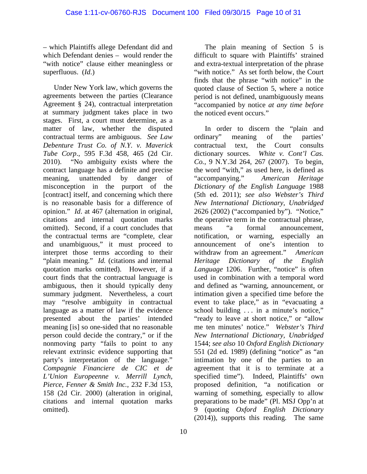– which Plaintiffs allege Defendant did and which Defendant denies – would render the "with notice" clause either meaningless or superfluous. (*Id*.)

Under New York law, which governs the agreements between the parties (Clearance Agreement § 24), contractual interpretation at summary judgment takes place in two stages. First, a court must determine, as a matter of law, whether the disputed contractual terms are ambiguous. *See Law Debenture Trust Co. of N.Y. v. Maverick Tube Corp*., 595 F.3d 458, 465 (2d Cir. 2010). "No ambiguity exists where the contract language has a definite and precise meaning, unattended by danger of misconception in the purport of the [contract] itself, and concerning which there is no reasonable basis for a difference of opinion." *Id*. at 467 (alternation in original, citations and internal quotation marks omitted). Second, if a court concludes that the contractual terms are "complete, clear and unambiguous," it must proceed to interpret those terms according to their "plain meaning." *Id.* (citations and internal quotation marks omitted). However, if a court finds that the contractual language is ambiguous, then it should typically deny summary judgment. Nevertheless, a court may "resolve ambiguity in contractual language as a matter of law if the evidence presented about the parties' intended meaning [is] so one-sided that no reasonable person could decide the contrary," or if the nonmoving party "fails to point to any relevant extrinsic evidence supporting that party's interpretation of the language." *Compagnie Financiere de CIC et de L'Union Europeenne v. Merrill Lynch, Pierce, Fenner & Smith Inc.*, 232 F.3d 153, 158 (2d Cir. 2000) (alteration in original, citations and internal quotation marks omitted).

The plain meaning of Section 5 is difficult to square with Plaintiffs' strained and extra-textual interpretation of the phrase "with notice." As set forth below, the Court finds that the phrase "with notice" in the quoted clause of Section 5, where a notice period is not defined, unambiguously means "accompanied by notice *at any time before* the noticed event occurs."

In order to discern the "plain and ordinary" meaning of the parties' contractual text, the Court consults dictionary sources. *White v. Cont'l Cas. Co.*, 9 N.Y.3d 264, 267 (2007). To begin, the word "with," as used here, is defined as "accompanying." *American Heritage Dictionary of the English Language* 1988 (5th ed. 2011); *see also Webster's Third New International Dictionary, Unabridged* 2626 (2002) ("accompanied by"). "Notice," the operative term in the contractual phrase, means "a formal announcement, notification, or warning, especially an announcement of one's intention to withdraw from an agreement." *American Heritage Dictionary of the English Language* 1206. Further, "notice" is often used in combination with a temporal word and defined as "warning, announcement, or intimation given a specified time before the event to take place," as in "evacuating a school building ... in a minute's notice," "ready to leave at short notice," or "allow" me ten minutes' notice." *Webster's Third New International Dictionary, Unabridged* 1544; *see also* 10 *Oxford English Dictionary* 551 (2d ed. 1989) (defining "notice" as "an intimation by one of the parties to an agreement that it is to terminate at a specified time"). Indeed, Plaintiffs' own proposed definition, "a notification or warning of something, especially to allow preparations to be made" (Pl. MSJ Opp'n at 9 (quoting *Oxford English Dictionary* (2014)), supports this reading. The same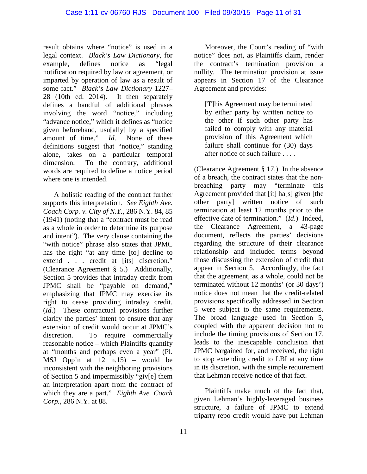result obtains where "notice" is used in a legal context. *Black's Law Dictionary*, for example, defines notice as "legal notification required by law or agreement, or imparted by operation of law as a result of some fact." *Black's Law Dictionary* 1227–28 (10th ed. 2014). It then separately 28 (10th ed. 2014). defines a handful of additional phrases involving the word "notice," including "advance notice," which it defines as "notice given beforehand, usu[ally] by a specified amount of time." *Id*. None of these definitions suggest that "notice," standing alone, takes on a particular temporal dimension. To the contrary, additional words are required to define a notice period where one is intended.

A holistic reading of the contract further supports this interpretation. *See Eighth Ave. Coach Corp. v. City of N.Y.*, 286 N.Y. 84, 85 (1941) (noting that a "contract must be read as a whole in order to determine its purpose and intent"). The very clause containing the "with notice" phrase also states that JPMC has the right "at any time [to] decline to extend . . . credit at [its] discretion." (Clearance Agreement § 5.) Additionally, Section 5 provides that intraday credit from JPMC shall be "payable on demand," emphasizing that JPMC may exercise its right to cease providing intraday credit. (*Id*.) These contractual provisions further clarify the parties' intent to ensure that any extension of credit would occur at JPMC's discretion. To require commercially reasonable notice – which Plaintiffs quantify at "months and perhaps even a year" (Pl. MSJ Opp'n at  $12$  n.15) – would be inconsistent with the neighboring provisions of Section 5 and impermissibly "giv[e] them an interpretation apart from the contract of which they are a part." *Eighth Ave. Coach Corp.*, 286 N.Y. at 88.

Moreover, the Court's reading of "with notice" does not, as Plaintiffs claim, render the contract's termination provision a nullity. The termination provision at issue appears in Section 17 of the Clearance Agreement and provides:

[T]his Agreement may be terminated by either party by written notice to the other if such other party has failed to comply with any material provision of this Agreement which failure shall continue for (30) days after notice of such failure . . . .

(Clearance Agreement § 17.) In the absence of a breach, the contract states that the nonbreaching party may "terminate this Agreement provided that [it] ha[s] given [the other party] written notice of such termination at least 12 months prior to the effective date of termination." (*Id*.) Indeed, the Clearance Agreement, a 43-page document, reflects the parties' decisions regarding the structure of their clearance relationship and included terms beyond those discussing the extension of credit that appear in Section 5. Accordingly, the fact that the agreement, as a whole, could not be terminated without 12 months' (or 30 days') notice does not mean that the credit-related provisions specifically addressed in Section 5 were subject to the same requirements. The broad language used in Section 5, coupled with the apparent decision not to include the timing provisions of Section 17, leads to the inescapable conclusion that JPMC bargained for, and received, the right to stop extending credit to LBI at any time in its discretion, with the simple requirement that Lehman receive notice of that fact.

Plaintiffs make much of the fact that, given Lehman's highly-leveraged business structure, a failure of JPMC to extend triparty repo credit would have put Lehman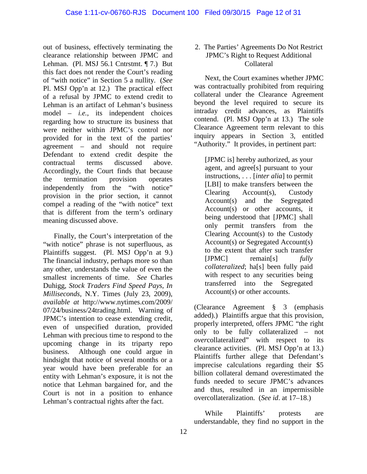out of business, effectively terminating the clearance relationship between JPMC and Lehman. (Pl. MSJ 56.1 Cntrstmt. ¶ 7.) But this fact does not render the Court's reading of "with notice" in Section 5 a nullity. (*See*  Pl. MSJ Opp'n at 12.) The practical effect of a refusal by JPMC to extend credit to Lehman is an artifact of Lehman's business model – *i.e.*, its independent choices regarding how to structure its business that were neither within JPMC's control nor provided for in the text of the parties' agreement – and should not require Defendant to extend credit despite the contractual terms discussed above. Accordingly, the Court finds that because the termination provision operates independently from the "with notice" provision in the prior section, it cannot compel a reading of the "with notice" text that is different from the term's ordinary meaning discussed above.

Finally, the Court's interpretation of the "with notice" phrase is not superfluous, as Plaintiffs suggest. (Pl. MSJ Opp'n at 9.) The financial industry, perhaps more so than any other, understands the value of even the smallest increments of time. *See* Charles Duhigg, *Stock Traders Find Speed Pays, In Milliseconds*, N.Y. Times (July 23, 2009), *available at* http://www.nytimes.com/2009/ 07/24/business/24trading.html. Warning of JPMC's intention to cease extending credit, even of unspecified duration, provided Lehman with precious time to respond to the upcoming change in its triparty repo business. Although one could argue in hindsight that notice of several months or a year would have been preferable for an entity with Lehman's exposure, it is not the notice that Lehman bargained for, and the Court is not in a position to enhance Lehman's contractual rights after the fact.

#### 2. The Parties' Agreements Do Not Restrict JPMC's Right to Request Additional Collateral

Next, the Court examines whether JPMC was contractually prohibited from requiring collateral under the Clearance Agreement beyond the level required to secure its intraday credit advances, as Plaintiffs contend. (Pl. MSJ Opp'n at 13.) The sole Clearance Agreement term relevant to this inquiry appears in Section 3, entitled "Authority." It provides, in pertinent part:

[JPMC is] hereby authorized, as your agent, and agree[s] pursuant to your instructions, . . . [*inter alia*] to permit [LBI] to make transfers between the Clearing Account(s), Custody Account(s) and the Segregated Account(s) or other accounts, it being understood that [JPMC] shall only permit transfers from the Clearing Account(s) to the Custody Account(s) or Segregated Account(s) to the extent that after such transfer [JPMC] remain[s] *fully collateralized*; ha[s] been fully paid with respect to any securities being transferred into the Segregated Account(s) or other accounts.

(Clearance Agreement § 3 (emphasis added).) Plaintiffs argue that this provision, properly interpreted, offers JPMC "the right only to be fully collateralized – not *over*collateralized" with respect to its clearance activities. (Pl. MSJ Opp'n at 13.) Plaintiffs further allege that Defendant's imprecise calculations regarding their \$5 billion collateral demand overestimated the funds needed to secure JPMC's advances and thus, resulted in an impermissible overcollateralization. (*See id*. at 17–18.)

While Plaintiffs' protests are understandable, they find no support in the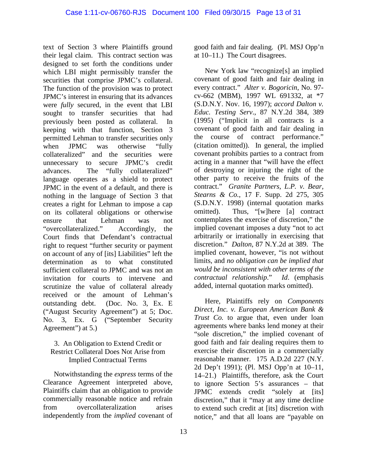text of Section 3 where Plaintiffs ground their legal claim. This contract section was designed to set forth the conditions under which LBI might permissibly transfer the securities that comprise JPMC's collateral. The function of the provision was to protect JPMC's interest in ensuring that its advances were *fully* secured, in the event that LBI sought to transfer securities that had previously been posted as collateral. In keeping with that function, Section 3 permitted Lehman to transfer securities only when JPMC was otherwise "fully collateralized" and the securities were unnecessary to secure JPMC's credit advances. The "fully collateralized" language operates as a shield to protect JPMC in the event of a default, and there is nothing in the language of Section 3 that creates a right for Lehman to impose a cap on its collateral obligations or otherwise ensure that Lehman was not "overcollateralized." Accordingly, the Court finds that Defendant's contractual right to request "further security or payment on account of any of [its] Liabilities" left the determination as to what constituted sufficient collateral to JPMC and was not an invitation for courts to intervene and scrutinize the value of collateral already received or the amount of Lehman's outstanding debt. (Doc. No. 3, Ex. E ("August Security Agreement") at 5; Doc. No. 3, Ex. G ("September Security Agreement") at 5.)

#### 3. An Obligation to Extend Credit or Restrict Collateral Does Not Arise from Implied Contractual Terms

Notwithstanding the *express* terms of the Clearance Agreement interpreted above, Plaintiffs claim that an obligation to provide commercially reasonable notice and refrain from overcollateralization arises independently from the *implied* covenant of

good faith and fair dealing. (Pl. MSJ Opp'n at 10–11.) The Court disagrees.

New York law "recognize[s] an implied covenant of good faith and fair dealing in every contract." *Alter v. Bogoricin*, No. 97 cv-662 (MBM), 1997 WL 691332, at \*7 (S.D.N.Y. Nov. 16, 1997); *accord Dalton v. Educ. Testing Serv*., 87 N.Y.2d 384, 389 (1995) ("Implicit in all contracts is a covenant of good faith and fair dealing in the course of contract performance." (citation omitted)). In general, the implied covenant prohibits parties to a contract from acting in a manner that "will have the effect of destroying or injuring the right of the other party to receive the fruits of the contract." *Granite Partners, L.P. v. Bear, Stearns & Co.*, 17 F. Supp. 2d 275, 305 (S.D.N.Y. 1998) (internal quotation marks omitted). Thus, "[w]here [a] contract contemplates the exercise of discretion," the implied covenant imposes a duty "not to act arbitrarily or irrationally in exercising that discretion." *Dalton*, 87 N.Y.2d at 389. The implied covenant, however, "is not without limits, and *no obligation can be implied that would be inconsistent with other terms of the contractual relationship*." *Id*. (emphasis added, internal quotation marks omitted).

Here, Plaintiffs rely on *Components Direct, Inc. v. European American Bank & Trust Co.* to argue that, even under loan agreements where banks lend money at their "sole discretion," the implied covenant of good faith and fair dealing requires them to exercise their discretion in a commercially reasonable manner. 175 A.D.2d 227 (N.Y. 2d Dep't 1991); (Pl. MSJ Opp'n at 10–11, 14–21.) Plaintiffs, therefore, ask the Court to ignore Section 5's assurances – that JPMC extends credit "solely at [its] discretion," that it "may at any time decline to extend such credit at [its] discretion with notice," and that all loans are "payable on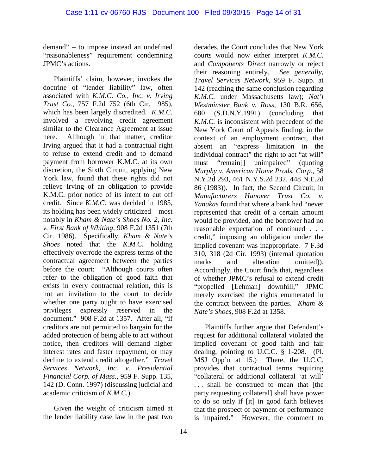demand" – to impose instead an undefined "reasonableness" requirement condemning JPMC's actions.

Plaintiffs' claim, however, invokes the doctrine of "lender liability" law, often associated with *K.M.C. Co., Inc. v. Irving Trust Co.*, 757 F.2d 752 (6th Cir. 1985), which has been largely discredited. *K.M.C.* involved a revolving credit agreement similar to the Clearance Agreement at issue here. Although in that matter, creditor Irving argued that it had a contractual right to refuse to extend credit and to demand payment from borrower K.M.C. at its own discretion, the Sixth Circuit, applying New York law, found that these rights did not relieve Irving of an obligation to provide K.M.C. prior notice of its intent to cut off credit. Since *K.M.C.* was decided in 1985, its holding has been widely criticized – most notably in *Kham & Nate's Shoes No. 2, Inc. v. First Bank of Whiting*, 908 F.2d 1351 (7th Cir. 1986). Specifically, *Kham & Nate's Shoes* noted that the *K.M.C.* holding effectively overrode the express terms of the contractual agreement between the parties before the court: "Although courts often refer to the obligation of good faith that exists in every contractual relation, this is not an invitation to the court to decide whether one party ought to have exercised privileges expressly reserved in the document." 908 F.2d at 1357. After all, "if creditors are not permitted to bargain for the added protection of being able to act without notice, then creditors will demand higher interest rates and faster repayment, or may decline to extend credit altogether." *Travel Services Network, Inc. v. Presidential Financial Corp. of Mass.*, 959 F. Supp. 135, 142 (D. Conn. 1997) (discussing judicial and academic criticism of *K.M.C.*).

Given the weight of criticism aimed at the lender liability case law in the past two

decades, the Court concludes that New York courts would now either interpret *K.M.C.*  and *Components Direct* narrowly or reject their reasoning entirely. *See generally*, *Travel Services Network*, 959 F. Supp. at 142 (reaching the same conclusion regarding *K.M.C.* under Massachusetts law); *Nat'l Westminster Bank v. Ross*, 130 B.R. 656, 680 (S.D.N.Y.1991) (concluding that *K.M.C.* is inconsistent with precedent of the New York Court of Appeals finding, in the context of an employment contract, that absent an "express limitation in the individual contract" the right to act "at will" must "remain[] unimpaired" (quoting *Murphy v. American Home Prods. Corp*., 58 N.Y.2d 293, 461 N.Y.S.2d 232, 448 N.E.2d 86 (1983)). In fact, the Second Circuit, in *Manufacturers Hanover Trust Co. v*. *Yanakas* found that where a bank had "never represented that credit of a certain amount would be provided, and the borrower had no reasonable expectation of continued . . . credit," imposing an obligation under the implied covenant was inappropriate. 7 F.3d 310, 318 (2d Cir. 1993) (internal quotation marks and alteration omitted)). Accordingly, the Court finds that, regardless of whether JPMC's refusal to extend credit "propelled [Lehman] downhill," JPMC merely exercised the rights enumerated in the contract between the parties. *Kham & Nate's Shoes*, 908 F.2d at 1358.

Plaintiffs further argue that Defendant's request for additional collateral violated the implied covenant of good faith and fair dealing, pointing to U.C.C. § 1-208. (Pl. MSJ Opp'n at 15.) There, the U.C.C. provides that contractual terms requiring "collateral or additional collateral 'at will' ... shall be construed to mean that [the party requesting collateral] shall have power to do so only if [it] in good faith believes that the prospect of payment or performance is impaired." However, the comment to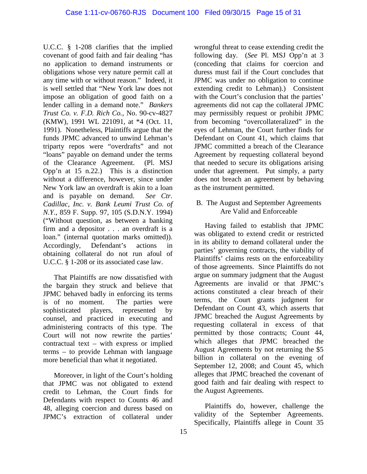U.C.C. § 1-208 clarifies that the implied covenant of good faith and fair dealing "has no application to demand instruments or obligations whose very nature permit call at any time with or without reason." Indeed, it is well settled that "New York law does not impose an obligation of good faith on a lender calling in a demand note." *Bankers Trust Co. v. F.D. Rich Co.*, No. 90-cv-4827 (KMW), 1991 WL 221091, at \*4 (Oct. 11, 1991). Nonetheless, Plaintiffs argue that the funds JPMC advanced to unwind Lehman's triparty repos were "overdrafts" and not "loans" payable on demand under the terms of the Clearance Agreement. (Pl. MSJ Opp'n at 15 n.22.) This is a distinction without a difference, however, since under New York law an overdraft is akin to a loan and is payable on demand. *See Ctr. Cadillac, Inc. v. Bank Leumi Trust Co. of N.Y.*, 859 F. Supp. 97, 105 (S.D.N.Y. 1994) ("Without question, as between a banking firm and a depositor . . . an overdraft is a loan." (internal quotation marks omitted)). Accordingly, Defendant's actions in obtaining collateral do not run afoul of U.C.C. § 1-208 or its associated case law.

That Plaintiffs are now dissatisfied with the bargain they struck and believe that JPMC behaved badly in enforcing its terms is of no moment. The parties were sophisticated players, represented by counsel, and practiced in executing and administering contracts of this type. The Court will not now rewrite the parties' contractual text – with express or implied terms – to provide Lehman with language more beneficial than what it negotiated.

Moreover, in light of the Court's holding that JPMC was not obligated to extend credit to Lehman, the Court finds for Defendants with respect to Counts 46 and 48, alleging coercion and duress based on JPMC's extraction of collateral under

wrongful threat to cease extending credit the following day. (*See* Pl. MSJ Opp'n at 3 (conceding that claims for coercion and duress must fail if the Court concludes that JPMC was under no obligation to continue extending credit to Lehman).) Consistent with the Court's conclusion that the parties' agreements did not cap the collateral JPMC may permissibly request or prohibit JPMC from becoming "overcollateralized" in the eyes of Lehman, the Court further finds for Defendant on Count 41, which claims that JPMC committed a breach of the Clearance Agreement by requesting collateral beyond that needed to secure its obligations arising under that agreement. Put simply, a party does not breach an agreement by behaving as the instrument permitted.

#### B. The August and September Agreements Are Valid and Enforceable

Having failed to establish that JPMC was obligated to extend credit or restricted in its ability to demand collateral under the parties' governing contracts, the viability of Plaintiffs' claims rests on the enforceability of those agreements. Since Plaintiffs do not argue on summary judgment that the August Agreements are invalid or that JPMC's actions constituted a clear breach of their terms, the Court grants judgment for Defendant on Count 43, which asserts that JPMC breached the August Agreements by requesting collateral in excess of that permitted by those contracts; Count 44, which alleges that JPMC breached the August Agreements by not returning the \$5 billion in collateral on the evening of September 12, 2008; and Count 45, which alleges that JPMC breached the covenant of good faith and fair dealing with respect to the August Agreements.

Plaintiffs do, however, challenge the validity of the September Agreements. Specifically, Plaintiffs allege in Count 35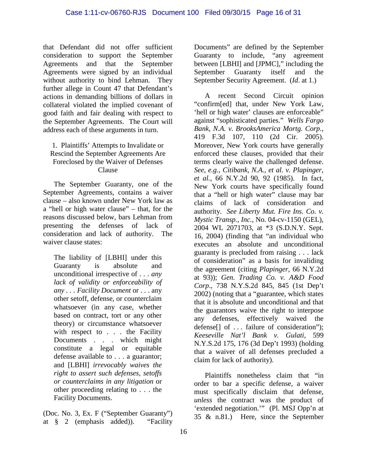that Defendant did not offer sufficient consideration to support the September Agreements and that the September Agreements were signed by an individual without authority to bind Lehman. They further allege in Count 47 that Defendant's actions in demanding billions of dollars in collateral violated the implied covenant of good faith and fair dealing with respect to the September Agreements. The Court will address each of these arguments in turn.

#### 1. Plaintiffs' Attempts to Invalidate or Rescind the September Agreements Are Foreclosed by the Waiver of Defenses Clause

The September Guaranty, one of the September Agreements, contains a waiver clause – also known under New York law as a "hell or high water clause" – that, for the reasons discussed below, bars Lehman from presenting the defenses of lack of consideration and lack of authority. The waiver clause states:

The liability of [LBHI] under this Guaranty is absolute and unconditional irrespective of . . . *any lack of validity or enforceability of any . . . Facility Document* or . . . any other setoff, defense, or counterclaim whatsoever (in any case, whether based on contract, tort or any other theory) or circumstance whatsoever with respect to . . . the Facility Documents . . . which might constitute a legal or equitable defense available to . . . a guarantor; and [LBHI] *irrevocably waives the right to assert such defenses, setoffs or counterclaims in any litigation* or other proceeding relating to . . . the Facility Documents.

(Doc. No. 3, Ex. F ("September Guaranty") at § 2 (emphasis added)). "Facility Documents" are defined by the September Guaranty to include, "any agreement between [LBHI] and [JPMC]," including the September Guaranty itself and the September Security Agreement. (*Id*. at 1.)

A recent Second Circuit opinion "confirm[ed] that, under New York Law, 'hell or high water' clauses are enforceable" against "sophisticated parties." *Wells Fargo Bank, N.A. v. BrooksAmerica Mortg. Corp.*, 419 F.3d 107, 110 (2d Cir. 2005). Moreover, New York courts have generally enforced these clauses, provided that their terms clearly waive the challenged defense. *See, e.g.*, *Citibank, N.A., et al. v. Plapinger, et al.*, 66 N.Y.2d 90, 92 (1985). In fact, New York courts have specifically found that a "hell or high water" clause may bar claims of lack of consideration and authority. *See Liberty Mut. Fire Ins. Co. v. Mystic Transp., Inc.*, No. 04-cv-1150 (GEL), 2004 WL 2071703, at \*3 (S.D.N.Y. Sept. 16, 2004) (finding that "an individual who executes an absolute and unconditional guaranty is precluded from raising . . . lack of consideration" as a basis for invaliding the agreement (citing *Plapinger*, 66 N.Y.2d at 93)); *Gen. Trading Co. v. A&D Food Corp*., 738 N.Y.S.2d 845, 845 (1st Dep't 2002) (noting that a "guarantee, which states that it is absolute and unconditional and that the guarantors waive the right to interpose any defenses, effectively waived the defense<sup>[]</sup> of ... failure of consideration"); *Keeseville Nat'l Bank v. Gulati*, 599 N.Y.S.2d 175, 176 (3d Dep't 1993) (holding that a waiver of all defenses precluded a claim for lack of authority).

Plaintiffs nonetheless claim that "in order to bar a specific defense, a waiver must specifically disclaim that defense, *unless* the contract was the product of 'extended negotiation.'" (Pl. MSJ Opp'n at 35 & n.81.) Here, since the September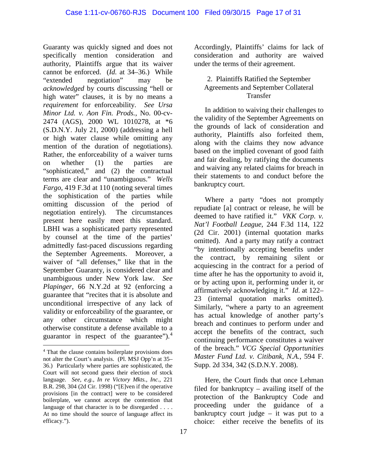Guaranty was quickly signed and does not specifically mention consideration and authority, Plaintiffs argue that its waiver cannot be enforced. (*Id.* at 34–36.) While "extended negotiation" may be *acknowledged* by courts discussing "hell or high water" clauses, it is by no means a *requirement* for enforceability. *See Ursa Minor Ltd. v. Aon Fin. Prods.*, No. 00-cv-2474 (AGS), 2000 WL 1010278, at \*6 (S.D.N.Y. July 21, 2000) (addressing a hell or high water clause while omitting any mention of the duration of negotiations). Rather, the enforceability of a waiver turns on whether (1) the parties are "sophisticated," and (2) the contractual terms are clear and "unambiguous." *Wells Fargo*, 419 F.3d at 110 (noting several times the sophistication of the parties while omitting discussion of the period of negotiation entirely). The circumstances present here easily meet this standard. LBHI was a sophisticated party represented by counsel at the time of the parties' admittedly fast-paced discussions regarding the September Agreements. Moreover, a waiver of "all defenses," like that in the September Guaranty, is considered clear and unambiguous under New York law. *See Plapinger*, 66 N.Y.2d at 92 (enforcing a guarantee that "recites that it is absolute and unconditional irrespective of any lack of validity or enforceability of the guarantee, or any other circumstance which might otherwise constitute a defense available to a guarantor in respect of the guarantee"). $4$  Accordingly, Plaintiffs' claims for lack of consideration and authority are waived under the terms of their agreement.

#### 2. Plaintiffs Ratified the September Agreements and September Collateral Transfer

In addition to waiving their challenges to the validity of the September Agreements on the grounds of lack of consideration and authority, Plaintiffs also forfeited them, along with the claims they now advance based on the implied covenant of good faith and fair dealing, by ratifying the documents and waiving any related claims for breach in their statements to and conduct before the bankruptcy court.

Where a party "does not promptly repudiate [a] contract or release, he will be deemed to have ratified it." *VKK Corp. v. Nat'l Football League*, 244 F.3d 114, 122 (2d Cir. 2001) (internal quotation marks omitted). And a party may ratify a contract "by intentionally accepting benefits under the contract, by remaining silent or acquiescing in the contract for a period of time after he has the opportunity to avoid it, or by acting upon it, performing under it, or affirmatively acknowledging it." *Id*. at 122– 23 (internal quotation marks omitted). Similarly, "where a party to an agreement has actual knowledge of another party's breach and continues to perform under and accept the benefits of the contract, such continuing performance constitutes a waiver of the breach." *VCG Special Opportunities Master Fund Ltd. v. Citibank, N.A.*, 594 F. Supp. 2d 334, 342 (S.D.N.Y. 2008).

Here, the Court finds that once Lehman filed for bankruptcy – availing itself of the protection of the Bankruptcy Code and proceeding under the guidance of a bankruptcy court judge – it was put to a choice: either receive the benefits of its

<span id="page-16-0"></span> <sup>4</sup> That the clause contains boilerplate provisions does not alter the Court's analysis. (Pl. MSJ Opp'n at 35– 36.) Particularly where parties are sophisticated, the Court will not second guess their election of stock language. *See, e.g., In re Victory Mkts., Inc*., 221 B.R. 298, 304 (2d Cir. 1998) ("[E]ven if the operative provisions [in the contract] were to be considered boilerplate, we cannot accept the contention that language of that character is to be disregarded . . . . At no time should the source of language affect its efficacy.").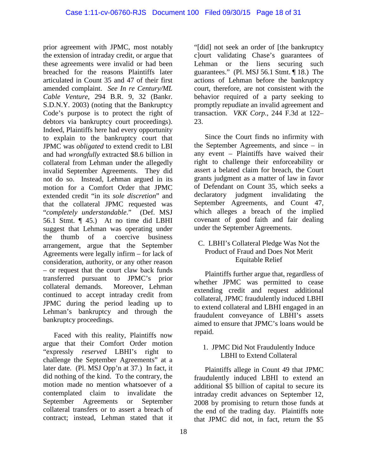prior agreement with JPMC, most notably the extension of intraday credit, or argue that these agreements were invalid or had been breached for the reasons Plaintiffs later articulated in Count 35 and 47 of their first amended complaint. *See In re Century/ML Cable Venture*, 294 B.R. 9, 32 (Bankr. S.D.N.Y. 2003) (noting that the Bankruptcy Code's purpose is to protect the right of debtors via bankruptcy court proceedings). Indeed, Plaintiffs here had every opportunity to explain to the bankruptcy court that JPMC was *obligated* to extend credit to LBI and had *wrongfully* extracted \$8.6 billion in collateral from Lehman under the allegedly invalid September Agreements. They did not do so. Instead, Lehman argued in its motion for a Comfort Order that JPMC extended credit "in its *sole discretion*" and that the collateral JPMC requested was "*completely understandable*." (Def. MSJ 56.1 Stmt. ¶ 45.) At no time did LBHI suggest that Lehman was operating under the thumb of a coercive business arrangement, argue that the September Agreements were legally infirm – for lack of consideration, authority, or any other reason – or request that the court claw back funds transferred pursuant to JPMC's prior collateral demands. Moreover, Lehman continued to accept intraday credit from JPMC during the period leading up to Lehman's bankruptcy and through the bankruptcy proceedings.

Faced with this reality, Plaintiffs now argue that their Comfort Order motion "expressly *reserved* LBHI's right to challenge the September Agreements" at a later date. (Pl. MSJ Opp'n at 37.) In fact, it did nothing of the kind. To the contrary, the motion made no mention whatsoever of a contemplated claim to invalidate the September Agreements or September collateral transfers or to assert a breach of contract; instead, Lehman stated that it

"[did] not seek an order of [the bankruptcy c]ourt validating Chase's guarantees of Lehman or the liens securing such guarantees." (Pl. MSJ 56.1 Stmt. ¶ 18.) The actions of Lehman before the bankruptcy court, therefore, are not consistent with the behavior required of a party seeking to promptly repudiate an invalid agreement and transaction. *VKK Corp.*, 244 F.3d at 122– 23.

Since the Court finds no infirmity with the September Agreements, and since – in any event – Plaintiffs have waived their right to challenge their enforceability or assert a belated claim for breach, the Court grants judgment as a matter of law in favor of Defendant on Count 35, which seeks a declaratory judgment invalidating the September Agreements, and Count 47, which alleges a breach of the implied covenant of good faith and fair dealing under the September Agreements.

#### C. LBHI's Collateral Pledge Was Not the Product of Fraud and Does Not Merit Equitable Relief

Plaintiffs further argue that, regardless of whether JPMC was permitted to cease extending credit and request additional collateral, JPMC fraudulently induced LBHI to extend collateral and LBHI engaged in an fraudulent conveyance of LBHI's assets aimed to ensure that JPMC's loans would be repaid.

## 1. JPMC Did Not Fraudulently Induce LBHI to Extend Collateral

Plaintiffs allege in Count 49 that JPMC fraudulently induced LBHI to extend an additional \$5 billion of capital to secure its intraday credit advances on September 12, 2008 by promising to return those funds at the end of the trading day. Plaintiffs note that JPMC did not, in fact, return the \$5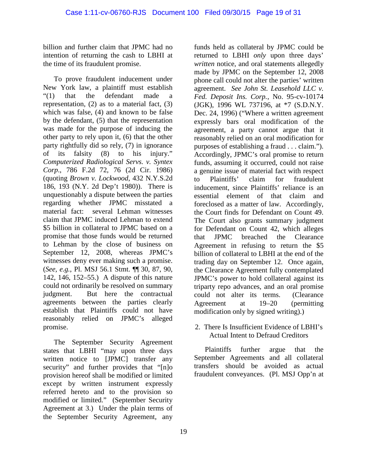billion and further claim that JPMC had no intention of returning the cash to LBHI at the time of its fraudulent promise.

To prove fraudulent inducement under New York law, a plaintiff must establish "(1) that the defendant made a representation, (2) as to a material fact, (3) which was false, (4) and known to be false by the defendant, (5) that the representation was made for the purpose of inducing the other party to rely upon it, (6) that the other party rightfully did so rely, (7) in ignorance of its falsity (8) to his injury." *Computerized Radiological Servs. v. Syntex Corp*., 786 F.2d 72, 76 (2d Cir. 1986) (quoting *Brown v. Lockwood*, 432 N.Y.S.2d 186, 193 (N.Y. 2d Dep't 1980)). There is unquestionably a dispute between the parties regarding whether JPMC misstated a material fact: several Lehman witnesses claim that JPMC induced Lehman to extend \$5 billion in collateral to JPMC based on a promise that those funds would be returned to Lehman by the close of business on September 12, 2008, whereas JPMC's witnesses deny ever making such a promise. (*See, e.g.*, Pl. MSJ 56.1 Stmt. ¶¶ 30, 87, 90, 142, 146, 152–55.) A dispute of this nature could not ordinarily be resolved on summary judgment. But here the contractual agreements between the parties clearly establish that Plaintiffs could not have reasonably relied on JPMC's alleged promise.

The September Security Agreement states that LBHI "may upon three days written notice to [JPMC] transfer any security" and further provides that "[n]o provision hereof shall be modified or limited except by written instrument expressly referred hereto and to the provision so modified or limited." (September Security Agreement at 3.) Under the plain terms of the September Security Agreement, any

funds held as collateral by JPMC could be returned to LBHI *only* upon three days' *written* notice, and oral statements allegedly made by JPMC on the September 12, 2008 phone call could not alter the parties' written agreement. *See John St. Leasehold LLC v. Fed. Deposit Ins. Corp.*, No. 95-cv-10174 (JGK), 1996 WL 737196, at \*7 (S.D.N.Y. Dec. 24, 1996) ("Where a written agreement expressly bars oral modification of the agreement, a party cannot argue that it reasonably relied on an oral modification for purposes of establishing a fraud . . . claim."). Accordingly, JPMC's oral promise to return funds, assuming it occurred, could not raise a genuine issue of material fact with respect to Plaintiffs' claim for fraudulent inducement, since Plaintiffs' reliance is an essential element of that claim and foreclosed as a matter of law. Accordingly, the Court finds for Defendant on Count 49. The Court also grants summary judgment for Defendant on Count 42, which alleges that JPMC breached the Clearance Agreement in refusing to return the \$5 billion of collateral to LBHI at the end of the trading day on September 12. Once again, the Clearance Agreement fully contemplated JPMC's power to hold collateral against its triparty repo advances, and an oral promise could not alter its terms. (Clearance Agreement at 19–20 (permitting modification only by signed writing).)

#### 2. There Is Insufficient Evidence of LBHI's Actual Intent to Defraud Creditors

Plaintiffs further argue that the September Agreements and all collateral transfers should be avoided as actual fraudulent conveyances. (Pl. MSJ Opp'n at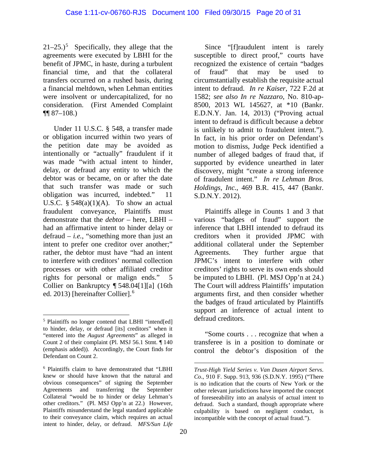$21-25.$  $21-25.$  $21-25.$ <sup>5</sup> Specifically, they allege that the agreements were executed by LBHI for the benefit of JPMC, in haste, during a turbulent financial time, and that the collateral transfers occurred on a rushed basis, during a financial meltdown, when Lehman entities were insolvent or undercapitalized, for no consideration. (First Amended Complaint  $\P\P$  87–108.)

Under 11 U.S.C. § 548, a transfer made or obligation incurred within two years of the petition date may be avoided as intentionally or "actually" fraudulent if it was made "with actual intent to hinder, delay, or defraud any entity to which the debtor was or became, on or after the date that such transfer was made or such obligation was incurred, indebted." 11 U.S.C.  $\S$  548(a)(1)(A). To show an actual fraudulent conveyance, Plaintiffs must demonstrate that the *debtor* – here, LBHI – had an affirmative intent to hinder delay or defraud – *i.e.*, "something more than just an intent to prefer one creditor over another;" rather, the debtor must have "had an intent to interfere with creditors' normal collection processes or with other affiliated creditor rights for personal or malign ends." 5 Collier on Bankruptcy ¶ 548.04[1][a] (16th ed. 2013) [hereinafter Collier].[6](#page-19-1)

Since "[f]raudulent intent is rarely susceptible to direct proof," courts have recognized the existence of certain "badges of fraud" that may be used to circumstantially establish the requisite actual intent to defraud. *In re Kaiser*, 722 F.2d at 1582; *see also In re Nazzaro*, No. 810-ap-8500, 2013 WL 145627, at \*10 (Bankr. E.D.N.Y. Jan. 14, 2013) ("Proving actual intent to defraud is difficult because a debtor is unlikely to admit to fraudulent intent."). In fact, in his prior order on Defendant's motion to dismiss, Judge Peck identified a number of alleged badges of fraud that, if supported by evidence unearthed in later discovery, might "create a strong inference of fraudulent intent." *In re Lehman Bros. Holdings, Inc.*, 469 B.R. 415, 447 (Bankr. S.D.N.Y. 2012).

Plaintiffs allege in Counts 1 and 3 that various "badges of fraud" support the inference that LBHI intended to defraud its creditors when it provided JPMC with additional collateral under the September Agreements. They further argue that JPMC's intent to interfere with other creditors' rights to serve its own ends should be imputed to LBHI. (Pl. MSJ Opp'n at 24.) The Court will address Plaintiffs' imputation arguments first, and then consider whether the badges of fraud articulated by Plaintiffs support an inference of actual intent to defraud creditors.

"Some courts . . . recognize that when a transferee is in a position to dominate or control the debtor's disposition of the

 $\overline{a}$ 

<span id="page-19-0"></span><sup>&</sup>lt;sup>5</sup> Plaintiffs no longer contend that LBHI "intend[ed] to hinder, delay, or defraud [its] creditors" when it "entered into the *August Agreements*" as alleged in Count 2 of their complaint (Pl. MSJ 56.1 Stmt. ¶ 140 (emphasis added)). Accordingly, the Court finds for Defendant on Count 2.

<span id="page-19-1"></span><sup>6</sup> Plaintiffs claim to have demonstrated that "LBHI knew or should have known that the natural and obvious consequences" of signing the September Agreements and transferring the September Collateral "would be to hinder or delay Lehman's other creditors." (Pl. MSJ Opp'n at 22.) However, Plaintiffs misunderstand the legal standard applicable to their conveyance claim, which requires an actual intent to hinder, delay, or defraud. *MFS/Sun Life* 

*Trust-High Yield Series v. Van Dusen Airport Servs*. *Co*., 910 F. Supp. 913, 936 (S.D.N.Y. 1995) ("There is no indication that the courts of New York or the other relevant jurisdictions have imported the concept of foreseeability into an analysis of actual intent to defraud. Such a standard, though appropriate where culpability is based on negligent conduct, is incompatible with the concept of actual fraud.").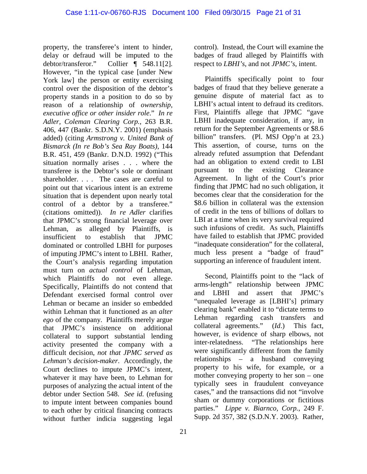property, the transferee's intent to hinder, delay or defraud will be imputed to the debtor/transferor." Collier ¶ 548.11[2]. However, "in the typical case [under New York law] the person or entity exercising control over the disposition of the debtor's property stands in a position to do so by reason of a relationship of *ownership, executive office or other insider role*." *In re Adler, Coleman Clearing Corp.*, 263 B.R. 406, 447 (Bankr. S.D.N.Y. 2001) (emphasis added) (citing *Armstrong v. United Bank of Bismarck (In re Bob's Sea Ray Boats)*, 144 B.R. 451, 459 (Bankr. D.N.D. 1992) ("This situation normally arises . . . where the transferee is the Debtor's sole or dominant shareholder. . . . The cases are careful to point out that vicarious intent is an extreme situation that is dependent upon nearly total control of a debtor by a transferee." (citations omitted)). *In re Adler* clarifies that JPMC's strong financial leverage over Lehman, as alleged by Plaintiffs, is insufficient to establish that JPMC dominated or controlled LBHI for purposes of imputing JPMC's intent to LBHI. Rather, the Court's analysis regarding imputation must turn on *actual control* of Lehman, which Plaintiffs do not even allege. Specifically, Plaintiffs do not contend that Defendant exercised formal control over Lehman or became an insider so embedded within Lehman that it functioned as an *alter ego* of the company. Plaintiffs merely argue that JPMC's insistence on additional collateral to support substantial lending activity presented the company with a difficult decision, *not that JPMC served as Lehman's decision*-*maker*. Accordingly, the Court declines to impute JPMC's intent, whatever it may have been, to Lehman for purposes of analyzing the actual intent of the debtor under Section 548. *See id.* (refusing to impute intent between companies bound to each other by critical financing contracts without further indicia suggesting legal

control). Instead, the Court will examine the badges of fraud alleged by Plaintiffs with respect to *LBHI's*, and not *JPMC's*, intent.

Plaintiffs specifically point to four badges of fraud that they believe generate a genuine dispute of material fact as to LBHI's actual intent to defraud its creditors. First, Plaintiffs allege that JPMC "gave LBHI inadequate consideration, if any, in return for the September Agreements or \$8.6 billion" transfers. (Pl. MSJ Opp'n at 23*.*) This assertion, of course, turns on the already refuted assumption that Defendant had an obligation to extend credit to LBI pursuant to the existing Clearance Agreement. In light of the Court's prior finding that JPMC had no such obligation, it becomes clear that the consideration for the \$8.6 billion in collateral was the extension of credit in the tens of billions of dollars to LBI at a time when its very survival required such infusions of credit. As such, Plaintiffs have failed to establish that JPMC provided "inadequate consideration" for the collateral, much less present a "badge of fraud" supporting an inference of fraudulent intent.

Second, Plaintiffs point to the "lack of arms-length" relationship between JPMC and LBHI and assert that JPMC's "unequaled leverage as [LBHI's] primary clearing bank" enabled it to "dictate terms to Lehman regarding cash transfers and collateral agreements." (*Id*.) This fact, however, is evidence of sharp elbows, not inter-relatedness. "The relationships here were significantly different from the family relationships – a husband conveying property to his wife, for example, or a mother conveying property to her son – one typically sees in fraudulent conveyance cases," and the transactions did not "involve sham or dummy corporations or fictitious parties." *Lippe v. Biarnco, Corp.*, 249 F. Supp. 2d 357, 382 (S.D.N.Y. 2003). Rather,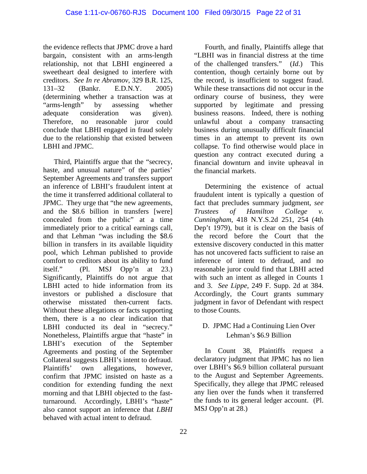the evidence reflects that JPMC drove a hard bargain, consistent with an arms-length relationship, not that LBHI engineered a sweetheart deal designed to interfere with creditors. *See In re Abramov*, 329 B.R. 125, 131–32 (Bankr. E.D.N.Y. 2005) (determining whether a transaction was at "arms-length" by assessing whether adequate consideration was given). Therefore, no reasonable juror could conclude that LBHI engaged in fraud solely due to the relationship that existed between LBHI and JPMC.

Third, Plaintiffs argue that the "secrecy, haste, and unusual nature" of the parties' September Agreements and transfers support an inference of LBHI's fraudulent intent at the time it transferred additional collateral to JPMC. They urge that "the new agreements, and the \$8.6 billion in transfers [were] concealed from the public" at a time immediately prior to a critical earnings call, and that Lehman "was including the \$8.6 billion in transfers in its available liquidity pool, which Lehman published to provide comfort to creditors about its ability to fund itself." (Pl. MSJ Opp'n at 23.) Significantly, Plaintiffs do not argue that LBHI acted to hide information from its investors or published a disclosure that otherwise misstated then-current facts. Without these allegations or facts supporting them, there is a no clear indication that LBHI conducted its deal in "secrecy." Nonetheless, Plaintiffs argue that "haste" in LBHI's execution of the September Agreements and posting of the September Collateral suggests LBHI's intent to defraud. Plaintiffs' own allegations, however, confirm that JPMC insisted on haste as a condition for extending funding the next morning and that LBHI objected to the fastturnaround. Accordingly, LBHI's "haste" also cannot support an inference that *LBHI* behaved with actual intent to defraud.

Fourth, and finally, Plaintiffs allege that "LBHI was in financial distress at the time of the challenged transfers." (*Id*.) This contention, though certainly borne out by the record, is insufficient to suggest fraud. While these transactions did not occur in the ordinary course of business, they were supported by legitimate and pressing business reasons. Indeed, there is nothing unlawful about a company transacting business during unusually difficult financial times in an attempt to prevent its own collapse. To find otherwise would place in question any contract executed during a financial downturn and invite upheaval in the financial markets.

Determining the existence of actual fraudulent intent is typically a question of fact that precludes summary judgment, *see Trustees of Hamilton College v. Cunningham*, 418 N.Y.S.2d 251, 254 (4th Dep't 1979), but it is clear on the basis of the record before the Court that the extensive discovery conducted in this matter has not uncovered facts sufficient to raise an inference of intent to defraud, and no reasonable juror could find that LBHI acted with such an intent as alleged in Counts 1 and 3. *See Lippe*, 249 F. Supp. 2d at 384. Accordingly, the Court grants summary judgment in favor of Defendant with respect to those Counts.

## D. JPMC Had a Continuing Lien Over Lehman's \$6.9 Billion

In Count 38, Plaintiffs request a declaratory judgment that JPMC has no lien over LBHI's \$6.9 billion collateral pursuant to the August and September Agreements. Specifically, they allege that JPMC released any lien over the funds when it transferred the funds to its general ledger account. (Pl. MSJ Opp'n at 28.)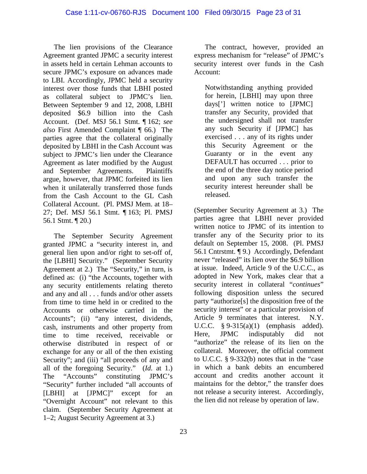The lien provisions of the Clearance Agreement granted JPMC a security interest in assets held in certain Lehman accounts to secure JPMC's exposure on advances made to LBI. Accordingly, JPMC held a security interest over those funds that LBHI posted as collateral subject to JPMC's lien. Between September 9 and 12, 2008, LBHI deposited \$6.9 billion into the Cash Account. (Def. MSJ 56.1 Stmt. ¶ 162; *see also* First Amended Complaint ¶ 66.) The parties agree that the collateral originally deposited by LBHI in the Cash Account was subject to JPMC's lien under the Clearance Agreement as later modified by the August and September Agreements. Plaintiffs argue, however, that JPMC forfeited its lien when it unilaterally transferred those funds from the Cash Account to the GL Cash Collateral Account. (Pl. PMSJ Mem. at 18– 27; Def. MSJ 56.1 Stmt. ¶ 163; Pl. PMSJ 56.1 Stmt. ¶ 20.)

The September Security Agreement granted JPMC a "security interest in, and general lien upon and/or right to set-off of, the [LBHI] Security." (September Security Agreement at 2.) The "Security," in turn, is defined as: (i) "the Accounts, together with any security entitlements relating thereto and any and all . . . funds and/or other assets from time to time held in or credited to the Accounts or otherwise carried in the Accounts"; (ii) "any interest, dividends, cash, instruments and other property from time to time received, receivable or otherwise distributed in respect of or exchange for any or all of the then existing Security"; and (iii) "all proceeds of any and all of the foregoing Security." (*Id.* at 1.) The "Accounts" constituting JPMC's "Security" further included "all accounts of [LBHI] at [JPMC]" except for an "Overnight Account" not relevant to this claim. (September Security Agreement at 1–2; August Security Agreement at 3.)

23

The contract, however, provided an express mechanism for "release" of JPMC's security interest over funds in the Cash Account:

Notwithstanding anything provided for herein, [LBHI] may upon three days<sup>[']</sup> written notice to [JPMC] transfer any Security, provided that the undersigned shall not transfer any such Security if [JPMC] has exercised . . . any of its rights under this Security Agreement or the Guaranty or in the event any DEFAULT has occurred . . . prior to the end of the three day notice period and upon any such transfer the security interest hereunder shall be released.

(September Security Agreement at 3.) The parties agree that LBHI never provided written notice to JPMC of its intention to transfer any of the Security prior to its default on September 15, 2008. (Pl. PMSJ 56.1 Cntrstmt. ¶ 9.) Accordingly, Defendant never "released" its lien over the \$6.9 billion at issue. Indeed, Article 9 of the U.C.C., as adopted in New York, makes clear that a security interest in collateral "*continues*" following disposition unless the secured party "authorize[s] the disposition free of the security interest" or a particular provision of Article 9 terminates that interest. N.Y. U.C.C. § 9-315(a)(1) (emphasis added). Here, JPMC indisputably did not "authorize" the release of its lien on the collateral. Moreover, the official comment to U.C.C. § 9-332(b) notes that in the "case in which a bank debits an encumbered account and credits another account it maintains for the debtor," the transfer does not release a security interest. Accordingly, the lien did not release by operation of law.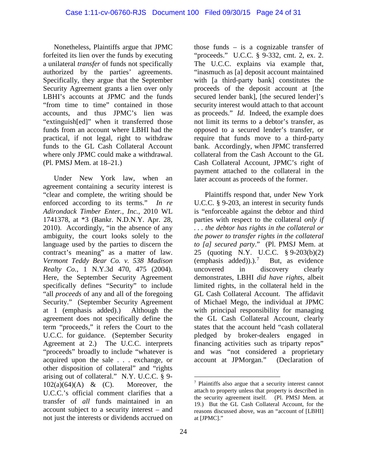Nonetheless, Plaintiffs argue that JPMC forfeited its lien over the funds by executing a unilateral *transfer* of funds not specifically authorized by the parties' agreements. Specifically, they argue that the September Security Agreement grants a lien over only LBHI's accounts at JPMC and the funds "from time to time" contained in those accounts, and thus JPMC's lien was "extinguish[ed]" when it transferred those funds from an account where LBHI had the practical, if not legal, right to withdraw funds to the GL Cash Collateral Account where only JPMC could make a withdrawal. (Pl. PMSJ Mem. at 18–21.)

Under New York law, when an agreement containing a security interest is "clear and complete, the writing should be enforced according to its terms." *In re Adirondack Timber Enter., Inc.*, 2010 WL 1741378, at \*3 (Bankr. N.D.N.Y. Apr. 28, 2010). Accordingly, "in the absence of any ambiguity, the court looks solely to the language used by the parties to discern the contract's meaning" as a matter of law. *Vermont Teddy Bear Co. v. 538 Madison Realty Co.*, 1 N.Y.3d 470, 475 (2004). Here, the September Security Agreement specifically defines "Security" to include "all *proceeds* of any and all of the foregoing Security." (September Security Agreement at 1 (emphasis added).) Although the agreement does not specifically define the term "proceeds," it refers the Court to the U.C.C. for guidance. (September Security Agreement at 2.) The U.C.C. interprets "proceeds" broadly to include "whatever is acquired upon the sale . . . exchange, or other disposition of collateral" and "rights arising out of collateral." N.Y. U.C.C. § 9-  $102(a)(64)(A)$  & (C). Moreover, the U.C.C.'s official comment clarifies that a transfer of *all* funds maintained in an account subject to a security interest – and not just the interests or dividends accrued on

those funds – is a cognizable transfer of "proceeds." U.C.C. § 9-332, cmt. 2, ex. 2. The U.C.C. explains via example that, "inasmuch as [a] deposit account maintained with [a third-party bank] constitutes the proceeds of the deposit account at [the secured lender bank], [the secured lender]'s security interest would attach to that account as proceeds." *Id*. Indeed, the example does not limit its terms to a debtor's transfer, as opposed to a secured lender's transfer, or require that funds move to a third-party bank. Accordingly, when JPMC transferred collateral from the Cash Account to the GL Cash Collateral Account, JPMC's right of payment attached to the collateral in the later account as proceeds of the former.

Plaintiffs respond that, under New York U.C.C. § 9-203, an interest in security funds is "enforceable against the debtor and third parties with respect to the collateral *only if . . . the debtor has rights in the collateral or the power to transfer rights in the collateral to [a] secured party*." (Pl. PMSJ Mem. at 25 (quoting N.Y. U.C.C. § 9-203(b)(2) (emphasis added)).).<sup>[7](#page-23-0)</sup> But, as evidence uncovered in discovery clearly demonstrates, LBHI *did have rights*, albeit limited rights, in the collateral held in the GL Cash Collateral Account. The affidavit of Michael Mego, the individual at JPMC with principal responsibility for managing the GL Cash Collateral Account, clearly states that the account held "cash collateral pledged by broker-dealers engaged in financing activities such as triparty repos" and was "not considered a proprietary account at JPMorgan." (Declaration of

<span id="page-23-0"></span> <sup>7</sup> Plaintiffs also argue that a security interest cannot attach to property unless that property is described in the security agreement itself. (Pl. PMSJ Mem. at 19.) But the GL Cash Collateral Account, for the reasons discussed above, was an "account of [LBHI] at [JPMC]."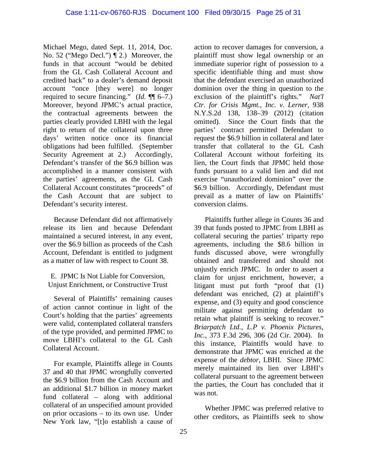Michael Mego, dated Sept. 11, 2014, Doc. No. 52 ("Mego Decl.") ¶ 2.) Moreover, the funds in that account "would be debited from the GL Cash Collateral Account and credited back" to a dealer's demand deposit account "once [they were] no longer required to secure financing." (*Id.* ¶¶ 6–7.) Moreover, beyond JPMC's actual practice, the contractual agreements between the parties clearly provided LBHI with the legal right to return of the collateral upon three days' written notice once its financial obligations had been fulfilled. (September Security Agreement at 2.) Accordingly, Defendant's transfer of the \$6.9 billion was accomplished in a manner consistent with the parties' agreements, as the GL Cash Collateral Account constitutes "proceeds" of the Cash Account that are subject to Defendant's security interest.

Because Defendant did not affirmatively release its lien and because Defendant maintained a secured interest, in any event, over the \$6.9 billion as proceeds of the Cash Account, Defendant is entitled to judgment as a matter of law with respect to Count 38.

E. JPMC Is Not Liable for Conversion, Unjust Enrichment, or Constructive Trust

Several of Plaintiffs' remaining causes of action cannot continue in light of the Court's holding that the parties' agreements were valid, contemplated collateral transfers of the type provided, and permitted JPMC to move LBHI's collateral to the GL Cash Collateral Account.

For example, Plaintiffs allege in Counts 37 and 40 that JPMC wrongfully converted the \$6.9 billion from the Cash Account and an additional \$1.7 billion in money market fund collateral – along with additional collateral of an unspecified amount provided on prior occasions – to its own use. Under New York law, "[t]o establish a cause of

action to recover damages for conversion, a plaintiff must show legal ownership or an immediate superior right of possession to a specific identifiable thing and must show that the defendant exercised an unauthorized dominion over the thing in question to the exclusion of the plaintiff's rights." *Nat'l Ctr. for Crisis Mgmt., Inc. v. Lerner*, 938 N.Y.S.2d 138, 138–39 (2012) (citation omitted). Since the Court finds that the parties' contract permitted Defendant to request the \$6.9 billion in collateral and later transfer that collateral to the GL Cash Collateral Account without forfeiting its lien, the Court finds that JPMC held those funds pursuant to a valid lien and did not exercise "unauthorized dominion" over the \$6.9 billion. Accordingly, Defendant must prevail as a matter of law on Plaintiffs' conversion claims.

Plaintiffs further allege in Counts 36 and 39 that funds posted to JPMC from LBHI as collateral securing the parties' triparty repo agreements, including the \$8.6 billion in funds discussed above, were wrongfully obtained and transferred and should not unjustly enrich JPMC. In order to assert a claim for unjust enrichment, however, a litigant must put forth "proof that (1) defendant was enriched, (2) at plaintiff's expense, and (3) equity and good conscience militate against permitting defendant to retain what plaintiff is seeking to recover." *Briarpatch Ltd., L.P v. Phoenix Pictures, Inc.*, 373 F.3d 296, 306 (2d Cir. 2004). In this instance, Plaintiffs would have to demonstrate that JPMC was enriched at the expense of the *debtor*, LBHI. Since JPMC merely maintained its lien over LBHI's collateral pursuant to the agreement between the parties, the Court has concluded that it was not.

Whether JPMC was preferred relative to other creditors, as Plaintiffs seek to show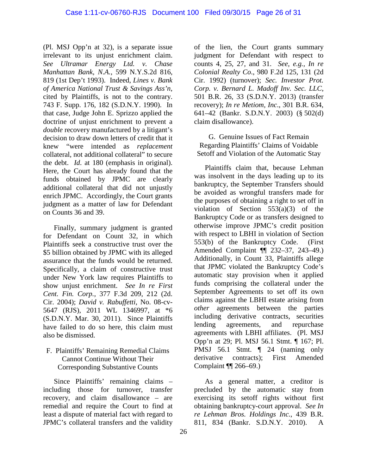(Pl. MSJ Opp'n at 32), is a separate issue irrelevant to its unjust enrichment claim. *See Ultramar Energy Ltd. v. Chase Manhattan Bank, N.A.*, 599 N.Y.S.2d 816, 819 (1st Dep't 1993). Indeed, *Lines v. Bank of America National Trust & Savings Ass'n*, cited by Plaintiffs, is not to the contrary. 743 F. Supp. 176, 182 (S.D.N.Y. 1990). In that case, Judge John E. Sprizzo applied the doctrine of unjust enrichment to prevent a *double* recovery manufactured by a litigant's decision to draw down letters of credit that it knew "were intended as *replacement* collateral, not additional collateral" to secure the debt. *Id*. at 180 (emphasis in original). Here, the Court has already found that the funds obtained by JPMC are clearly additional collateral that did not unjustly enrich JPMC. Accordingly, the Court grants judgment as a matter of law for Defendant on Counts 36 and 39.

Finally, summary judgment is granted for Defendant on Count 32, in which Plaintiffs seek a constructive trust over the \$5 billion obtained by JPMC with its alleged assurance that the funds would be returned. Specifically, a claim of constructive trust under New York law requires Plaintiffs to show unjust enrichment. *See In re First Cent. Fin. Corp.*, 377 F.3d 209, 212 (2d. Cir. 2004); *David v. Rabuffetti*, No. 08-cv-5647 (RJS), 2011 WL 1346997, at \*6 (S.D.N.Y. Mar. 30, 2011). Since Plaintiffs have failed to do so here, this claim must also be dismissed.

## F. Plaintiffs' Remaining Remedial Claims Cannot Continue Without Their Corresponding Substantive Counts

Since Plaintiffs' remaining claims – including those for turnover, transfer recovery, and claim disallowance – are remedial and require the Court to find at least a dispute of material fact with regard to JPMC's collateral transfers and the validity

of the lien, the Court grants summary judgment for Defendant with respect to counts 4, 25, 27, and 31. *See, e.g., In re Colonial Realty Co*., 980 F.2d 125, 131 (2d Cir. 1992) (turnover); *Sec. Investor Prot. Corp. v. Bernard L. Madoff Inv. Sec. LLC*, 501 B.R. 26, 33 (S.D.N.Y. 2013) (transfer recovery); *In re Metiom, Inc*., 301 B.R. 634, 641–42 (Bankr. S.D.N.Y. 2003) (§ 502(d) claim disallowance).

G. Genuine Issues of Fact Remain Regarding Plaintiffs' Claims of Voidable Setoff and Violation of the Automatic Stay

Plaintiffs claim that, because Lehman was insolvent in the days leading up to its bankruptcy, the September Transfers should be avoided as wrongful transfers made for the purposes of obtaining a right to set off in violation of Section  $553(a)(3)$  of the Bankruptcy Code or as transfers designed to otherwise improve JPMC's credit position with respect to LBHI in violation of Section 553(b) of the Bankruptcy Code. (First Amended Complaint ¶¶ 232–37, 243–49.) Additionally, in Count 33, Plaintiffs allege that JPMC violated the Bankruptcy Code's automatic stay provision when it applied funds comprising the collateral under the September Agreements to set off its own claims against the LBHI estate arising from *other* agreements between the parties including derivative contracts, securities lending agreements, and repurchase agreements with LBHI affiliates. (Pl. MSJ Opp'n at 29; Pl. MSJ 56.1 Stmt. ¶ 167; Pl. PMSJ 56.1 Stmt. ¶ 24 (naming only derivative contracts); First Amended Complaint ¶¶ 266–69.)

As a general matter, a creditor is precluded by the automatic stay from exercising its setoff rights without first obtaining bankruptcy-court approval. *See In re Lehman Bros. Holdings Inc.*, 439 B.R. 811, 834 (Bankr. S.D.N.Y. 2010). A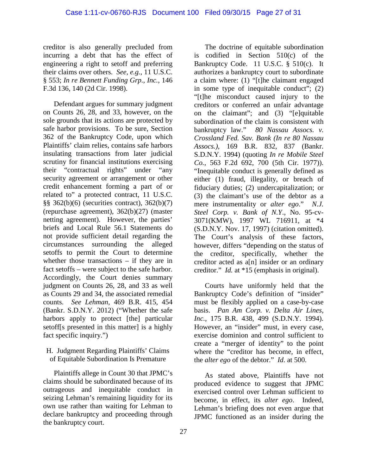creditor is also generally precluded from incurring a debt that has the effect of engineering a right to setoff and preferring their claims over others. *See, e.g.*, 11 U.S.C. § 553; *In re Bennett Funding Grp., Inc.*, 146 F.3d 136, 140 (2d Cir. 1998).

Defendant argues for summary judgment on Counts 26, 28, and 33, however, on the sole grounds that its actions are protected by safe harbor provisions. To be sure, Section 362 of the Bankruptcy Code, upon which Plaintiffs' claim relies, contains safe harbors insulating transactions from later judicial scrutiny for financial institutions exercising their "contractual rights" under "any security agreement or arrangement or other credit enhancement forming a part of or related to" a protected contract, 11 U.S.C. §§ 362(b)(6) (securities contract), 362(b)(7) (repurchase agreement), 362(b)(27) (master netting agreement). However, the parties' briefs and Local Rule 56.1 Statements do not provide sufficient detail regarding the circumstances surrounding the alleged setoffs to permit the Court to determine whether those transactions – if they are in fact setoffs – were subject to the safe harbor. Accordingly, the Court denies summary judgment on Counts 26, 28, and 33 as well as Counts 29 and 34, the associated remedial counts. *See Lehman*, 469 B.R. 415, 454 (Bankr. S.D.N.Y. 2012) ("Whether the safe harbors apply to protect [the] particular setoff[s presented in this matter] is a highly fact specific inquiry.")

#### H. Judgment Regarding Plaintiffs' Claims of Equitable Subordination Is Premature

Plaintiffs allege in Count 30 that JPMC's claims should be subordinated because of its outrageous and inequitable conduct in seizing Lehman's remaining liquidity for its own use rather than waiting for Lehman to declare bankruptcy and proceeding through the bankruptcy court.

The doctrine of equitable subordination is codified in Section 510(c) of the Bankruptcy Code. 11 U.S.C. § 510(c). It authorizes a bankruptcy court to subordinate a claim where: (1) "[t]he claimant engaged in some type of inequitable conduct"; (2) "[t]he misconduct caused injury to the creditors or conferred an unfair advantage on the claimant"; and (3) "[e]quitable subordination of the claim is consistent with bankruptcy law." *80 Nassau Assocs. v. Crossland Fed. Sav. Bank (In re 80 Nassau Assocs.)*, 169 B.R. 832, 837 (Bankr. S.D.N.Y. 1994) (quoting *In re Mobile Steel Co.*, 563 F.2d 692, 700 (5th Cir. 1977)). "Inequitable conduct is generally defined as either (1) fraud, illegality, or breach of fiduciary duties; (2) undercapitalization; or (3) the claimant's use of the debtor as a mere instrumentality or *alter ego*." *N.J. Steel Corp. v. Bank of N.Y*., No. 95-cv-3071(KMW), 1997 WL 716911, at \*4 (S.D.N.Y. Nov. 17, 1997) (citation omitted). The Court's analysis of these factors, however, differs "depending on the status of the creditor, specifically, whether the creditor acted as a[n] insider or an ordinary creditor." *Id.* at \*15 (emphasis in original).

Courts have uniformly held that the Bankruptcy Code's definition of "insider" must be flexibly applied on a case-by-case basis. *Pan Am Corp. v. Delta Air Lines, Inc.*, 175 B.R. 438, 499 (S.D.N.Y. 1994). However, an "insider" must, in every case, exercise dominion and control sufficient to create a "merger of identity" to the point where the "creditor has become, in effect, the *alter ego* of the debtor." *Id*. at 500.

As stated above, Plaintiffs have not produced evidence to suggest that JPMC exercised control over Lehman sufficient to become, in effect, its *alter ego*. Indeed, Lehman's briefing does not even argue that JPMC functioned as an insider during the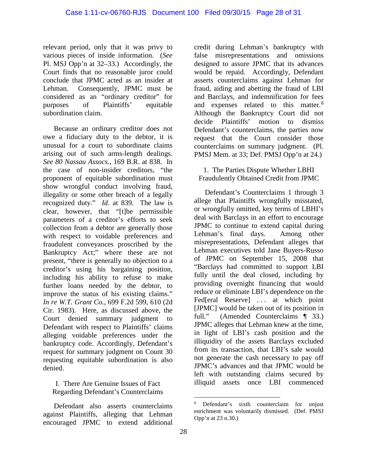relevant period, only that it was privy to various pieces of inside information. (*See*  Pl. MSJ Opp'n at 32–33.) Accordingly, the Court finds that no reasonable juror could conclude that JPMC acted as an insider at Lehman. Consequently, JPMC must be considered as an "ordinary creditor" for purposes of Plaintiffs' equitable subordination claim.

Because an ordinary creditor does not owe a fiduciary duty to the debtor, it is unusual for a court to subordinate claims arising out of such arms-length dealings. *See 80 Nassau Assocs.*, 169 B.R. at 838. In the case of non-insider creditors, "the proponent of equitable subordination must show wrongful conduct involving fraud, illegality or some other breach of a legally recognized duty." *Id.* at 839. The law is clear, however, that "[t]he permissible parameters of a creditor's efforts to seek collection from a debtor are generally those with respect to voidable preferences and fraudulent conveyances proscribed by the Bankruptcy Act;" where these are not present, "there is generally no objection to a creditor's using his bargaining position, including his ability to refuse to make further loans needed by the debtor, to improve the status of his existing claims." *In re W.T. Grant Co.*, 699 F.2d 599, 610 (2d Cir. 1983). Here, as discussed above, the Court denied summary judgment to Defendant with respect to Plaintiffs' claims alleging voidable preferences under the bankruptcy code. Accordingly, Defendant's request for summary judgment on Count 30 requesting equitable subordination is also denied.

#### I. There Are Genuine Issues of Fact Regarding Defendant's Counterclaims

<span id="page-27-0"></span>Defendant also asserts counterclaims against Plaintiffs, alleging that Lehman encouraged JPMC to extend additional

credit during Lehman's bankruptcy with false misrepresentations and omissions designed to assure JPMC that its advances would be repaid. Accordingly, Defendant asserts counterclaims against Lehman for fraud, aiding and abetting the fraud of LBI and Barclays, and indemnification for fees and expenses related to this matter.<sup>[8](#page-27-0)</sup> Although the Bankruptcy Court did not decide Plaintiffs' motion to dismiss Defendant's counterclaims, the parties now request that the Court consider those counterclaims on summary judgment. (Pl. PMSJ Mem. at 33; Def. PMSJ Opp'n at 24.)

1. The Parties Dispute Whether LBHI Fraudulently Obtained Credit from JPMC

Defendant's Counterclaims 1 through 3 allege that Plaintiffs wrongfully misstated, or wrongfully omitted, key terms of LBHI's deal with Barclays in an effort to encourage JPMC to continue to extend capital during Lehman's final days. Among other misrepresentations, Defendant alleges that Lehman executives told Jane Buyers-Russo of JPMC on September 15, 2008 that "Barclays had committed to support LBI fully until the deal closed, including by providing overnight financing that would reduce or eliminate LBI's dependence on the Fed[eral Reserve] ... at which point [JPMC] would be taken out of its position in full." (Amended Counterclaims ¶ 33.) JPMC alleges that Lehman knew at the time, in light of LBI's cash position and the illiquidity of the assets Barclays excluded from its transaction, that LBI's sale would not generate the cash necessary to pay off JPMC's advances and that JPMC would be left with outstanding claims secured by illiquid assets once LBI commenced

Defendant's sixth counterclaim for unjust enrichment was voluntarily dismissed. (Def. PMSJ Opp'n at 23 n.30.)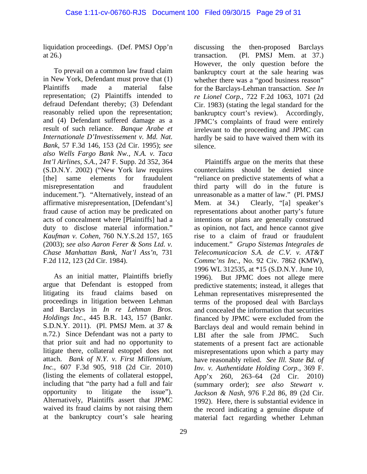liquidation proceedings. (Def. PMSJ Opp'n at 26.)

To prevail on a common law fraud claim in New York, Defendant must prove that (1) Plaintiffs made a material false representation; (2) Plaintiffs intended to defraud Defendant thereby; (3) Defendant reasonably relied upon the representation; and (4) Defendant suffered damage as a result of such reliance. *Banque Arabe et Internationale D'Investissement v. Md. Nat. Bank*, 57 F.3d 146, 153 (2d Cir. 1995); *see also Wells Fargo Bank Nw., N.A. v. Taca Int'l Airlines, S.A.*, 247 F. Supp. 2d 352, 364 (S.D.N.Y. 2002) ("New York law requires [the] same elements for fraudulent misrepresentation and fraudulent inducement."). "Alternatively, instead of an affirmative misrepresentation, [Defendant's] fraud cause of action may be predicated on acts of concealment where [Plaintiffs] had a duty to disclose material information." *Kaufman v. Cohen*, 760 N.Y.S.2d 157, 165 (2003); *see also Aaron Ferer & Sons Ltd. v. Chase Manhattan Bank, Nat'l Ass'n*, 731 F.2d 112, 123 (2d Cir. 1984).

As an initial matter, Plaintiffs briefly argue that Defendant is estopped from litigating its fraud claims based on proceedings in litigation between Lehman and Barclays in *In re Lehman Bros. Holdings Inc.*, 445 B.R. 143, 157 (Bankr. S.D.N.Y. 2011). (Pl. PMSJ Mem. at 37 & n.72.) Since Defendant was not a party to that prior suit and had no opportunity to litigate there, collateral estoppel does not attach. *Bank of N.Y. v. First Millennium, Inc.*, 607 F.3d 905, 918 (2d Cir. 2010) (listing the elements of collateral estoppel, including that "the party had a full and fair opportunity to litigate the issue"). Alternatively, Plaintiffs assert that JPMC waived its fraud claims by not raising them at the bankruptcy court's sale hearing

discussing the then-proposed Barclays transaction. (Pl. PMSJ Mem. at 37.) However, the only question before the bankruptcy court at the sale hearing was whether there was a "good business reason" for the Barclays-Lehman transaction. *See In re Lionel Corp.*, 722 F.2d 1063, 1071 (2d Cir. 1983) (stating the legal standard for the bankruptcy court's review). Accordingly, JPMC's complaints of fraud were entirely irrelevant to the proceeding and JPMC can hardly be said to have waived them with its silence.

Plaintiffs argue on the merits that these counterclaims should be denied since "reliance on predictive statements of what a third party will do in the future is unreasonable as a matter of law." (Pl. PMSJ Mem. at 34.) Clearly, "[a] speaker's representations about another party's future intentions or plans are generally construed as opinion, not fact, and hence cannot give rise to a claim of fraud or fraudulent inducement." *Grupo Sistemas Integrales de Telecomunicacion S.A. de C.V. v. AT&T Commc'ns Inc*., No. 92 Civ. 7862 (KMW), 1996 WL 312535, at \*15 (S.D.N.Y. June 10, 1996). But JPMC does not allege mere predictive statements; instead, it alleges that Lehman representatives misrepresented the terms of the proposed deal with Barclays and concealed the information that securities financed by JPMC were excluded from the Barclays deal and would remain behind in LBI after the sale from JPMC. Such statements of a present fact are actionable misrepresentations upon which a party may have reasonably relied. *See Ill. State Bd. of Inv. v. Authentidate Holding Corp*., 369 F. App'x 260, 263–64 (2d Cir. 2010) (summary order); *see also Stewart v. Jackson & Nash*, 976 F.2d 86, 89 (2d Cir. 1992). Here, there is substantial evidence in the record indicating a genuine dispute of material fact regarding whether Lehman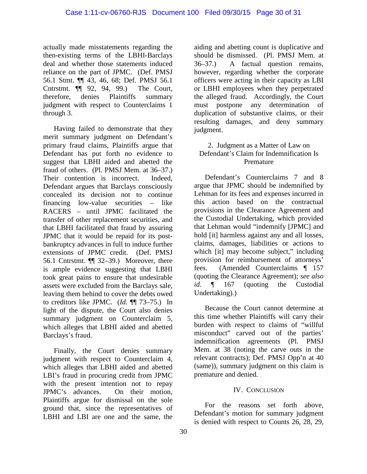actually made misstatements regarding the then-existing terms of the LBHI-Barclays deal and whether those statements induced reliance on the part of JPMC. (Def. PMSJ 56.1 Stmt. ¶¶ 43, 46, 68; Def. PMSJ 56.1 Cntrstmt. ¶¶ 92, 94, 99.) The Court, therefore, denies Plaintiffs summary judgment with respect to Counterclaims 1 through 3.

Having failed to demonstrate that they merit summary judgment on Defendant's primary fraud claims, Plaintiffs argue that Defendant has put forth no evidence to suggest that LBHI aided and abetted the fraud of others. (Pl. PMSJ Mem. at 36–37.) Their contention is incorrect. Indeed, Defendant argues that Barclays consciously concealed its decision not to continue financing low-value securities – like RACERS – until JPMC facilitated the transfer of other replacement securities, and that LBHI facilitated that fraud by assuring JPMC that it would be repaid for its postbankruptcy advances in full to induce further extensions of JPMC credit. (Def. PMSJ 56.1 Cntrstmt. ¶¶ 32–39.) Moreover, there is ample evidence suggesting that LBHI took great pains to ensure that undesirable assets were excluded from the Barclays sale, leaving them behind to cover the debts owed to creditors like JPMC. (*Id.* ¶¶ 73–75.) In light of the dispute, the Court also denies summary judgment on Counterclaim 5, which alleges that LBHI aided and abetted Barclays's fraud.

Finally, the Court denies summary judgment with respect to Counterclaim 4, which alleges that LBHI aided and abetted LBI's fraud in procuring credit from JPMC with the present intention not to repay JPMC's advances. On their motion, Plaintiffs argue for dismissal on the sole ground that, since the representatives of LBHI and LBI are one and the same, the

aiding and abetting count is duplicative and should be dismissed. (Pl. PMSJ Mem. at 36–37.) A factual question remains, however, regarding whether the corporate officers were acting in their capacity as LBI or LBHI employees when they perpetrated the alleged fraud. Accordingly, the Court must postpone any determination of duplication of substantive claims, or their resulting damages, and deny summary judgment.

## 2. Judgment as a Matter of Law on Defendant's Claim for Indemnification Is Premature

Defendant's Counterclaims 7 and 8 argue that JPMC should be indemnified by Lehman for its fees and expenses incurred in this action based on the contractual provisions in the Clearance Agreement and the Custodial Undertaking, which provided that Lehman would "indemnify [JPMC] and hold [it] harmless against any and all losses, claims, damages, liabilities or actions to which [it] may become subject," including provision for reimbursement of attorneys' fees. (Amended Counterclaims ¶ 157 (quoting the Clearance Agreement); *see also id.*  $\P$  167 (quoting the Custodial Undertaking).)

Because the Court cannot determine at this time whether Plaintiffs will carry their burden with respect to claims of "willful misconduct" carved out of the parties' indemnification agreements (Pl. PMSJ Mem. at 38 (noting the carve outs in the relevant contracts); Def. PMSJ Opp'n at 40 (same)), summary judgment on this claim is premature and denied.

#### IV. CONCLUSION

For the reasons set forth above, Defendant's motion for summary judgment is denied with respect to Counts 26, 28, 29,